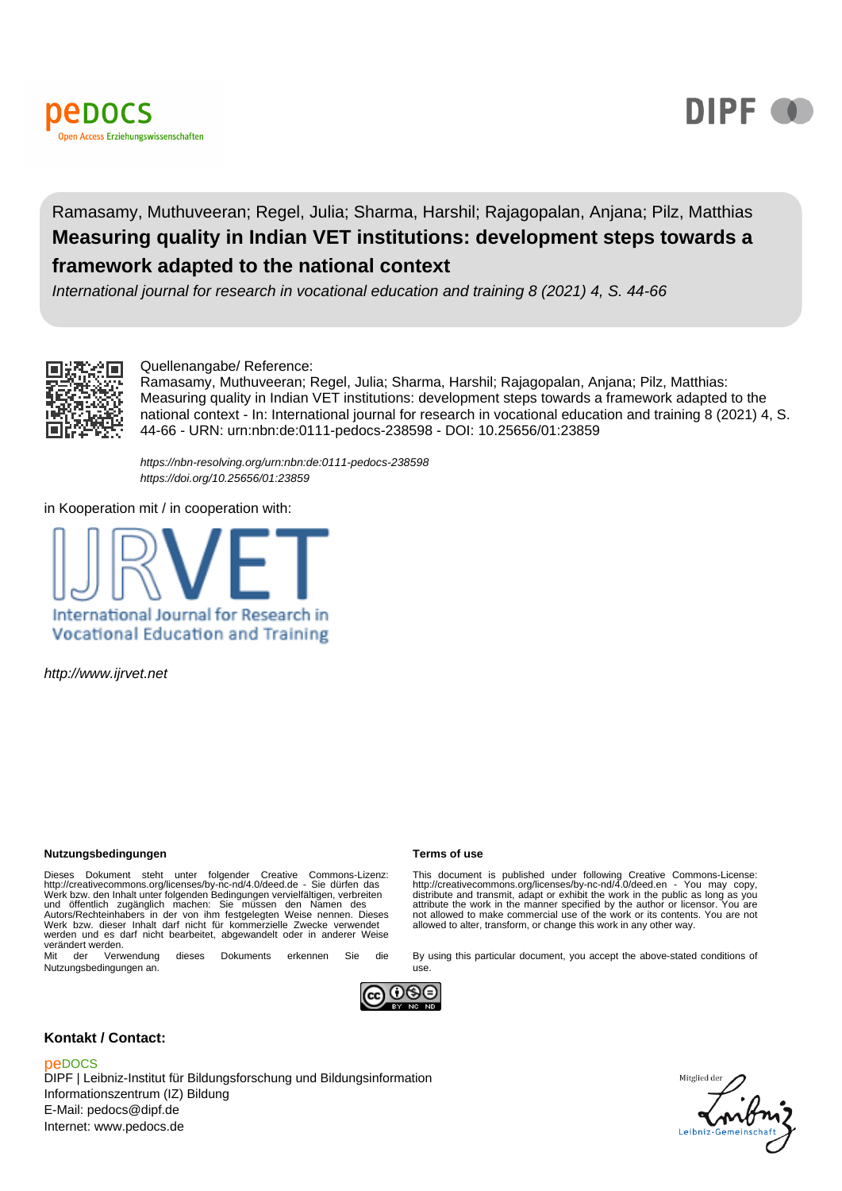



# Ramasamy, Muthuveeran; Regel, Julia; Sharma, Harshil; Rajagopalan, Anjana; Pilz, Matthias **Measuring quality in Indian VET institutions: development steps towards a framework adapted to the national context**

International journal for research in vocational education and training 8 (2021) 4, S. 44-66



#### Quellenangabe/ Reference:

Ramasamy, Muthuveeran; Regel, Julia; Sharma, Harshil; Rajagopalan, Anjana; Pilz, Matthias: Measuring quality in Indian VET institutions: development steps towards a framework adapted to the national context - In: International journal for research in vocational education and training 8 (2021) 4, S. 44-66 - URN: urn:nbn:de:0111-pedocs-238598 - DOI: 10.25656/01:23859

<https://nbn-resolving.org/urn:nbn:de:0111-pedocs-238598> <https://doi.org/10.25656/01:23859>

in Kooperation mit / in cooperation with:



http://www.ijrvet.net

#### **Nutzungsbedingungen Terms of use**

Dieses Dokument steht unter folgender Creative Commons-Lizenz:<br>http://creativecommons.org/licenses/by-nc-nd/4.0/deed.de - Sie dürfen das<br>Werk bzw. den Inhalt unter folgenden Bedingungen vervielfältigen, verbreiten<br>und öffe werden und es darf nicht bearbeitet, abgewandelt oder in anderer Weise verändert werden.<br>Mit der Verv

Verwendung dieses Dokuments erkennen Sie die Nutzungsbedingungen an.

This document is published under following Creative Commons-License:<br>http://creativecommons.org/licenses/by-nc-nd/4.0/deed.en - You may copy,<br>distribute and transmit, adapt or exhibit the work in the public as long as you<br> not allowed to make commercial use of the work or its contents. You are not allowed to alter, transform, or change this work in any other way.

By using this particular document, you accept the above-stated conditions of



use.

#### **Kontakt / Contact:**

#### peDOCS

DIPF | Leibniz-Institut für Bildungsforschung und Bildungsinformation Informationszentrum (IZ) Bildung E-Mail: pedocs@dipf.de Internet: www.pedocs.de

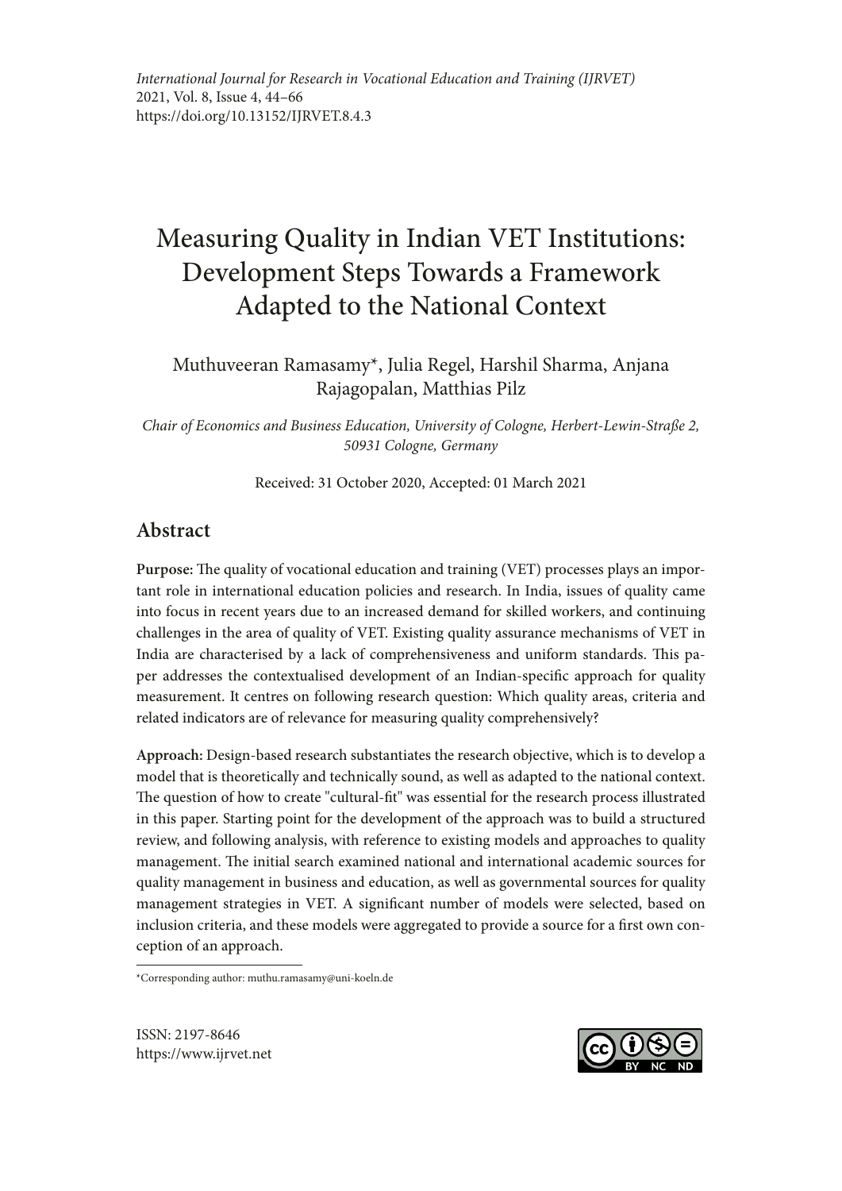# Measuring Quality in Indian VET Institutions: Development Steps Towards a Framework Adapted to the National Context

Muthuveeran Ramasamy\*, Julia Regel, Harshil Sharma, Anjana Rajagopalan, Matthias Pilz

*Chair of Economics and Business Education, University of Cologne, Herbert-Lewin-Straße 2, 50931 Cologne, Germany*

Received: 31 October 2020, Accepted: 01 March 2021

# **Abstract**

**Purpose:** The quality of vocational education and training (VET) processes plays an important role in international education policies and research. In India, issues of quality came into focus in recent years due to an increased demand for skilled workers, and continuing challenges in the area of quality of VET. Existing quality assurance mechanisms of VET in India are characterised by a lack of comprehensiveness and uniform standards. This paper addresses the contextualised development of an Indian-specific approach for quality measurement. It centres on following research question: Which quality areas, criteria and related indicators are of relevance for measuring quality comprehensively?

**Approach:** Design-based research substantiates the research objective, which is to develop a model that is theoretically and technically sound, as well as adapted to the national context. The question of how to create "cultural-fit" was essential for the research process illustrated in this paper. Starting point for the development of the approach was to build a structured review, and following analysis, with reference to existing models and approaches to quality management. The initial search examined national and international academic sources for quality management in business and education, as well as governmental sources for quality management strategies in VET. A significant number of models were selected, based on inclusion criteria, and these models were aggregated to provide a source for a first own conception of an approach.

\*Corresponding author: muthu.ramasamy@uni-koeln.de

ISSN: 2197-8646 https://www.ijrvet.net

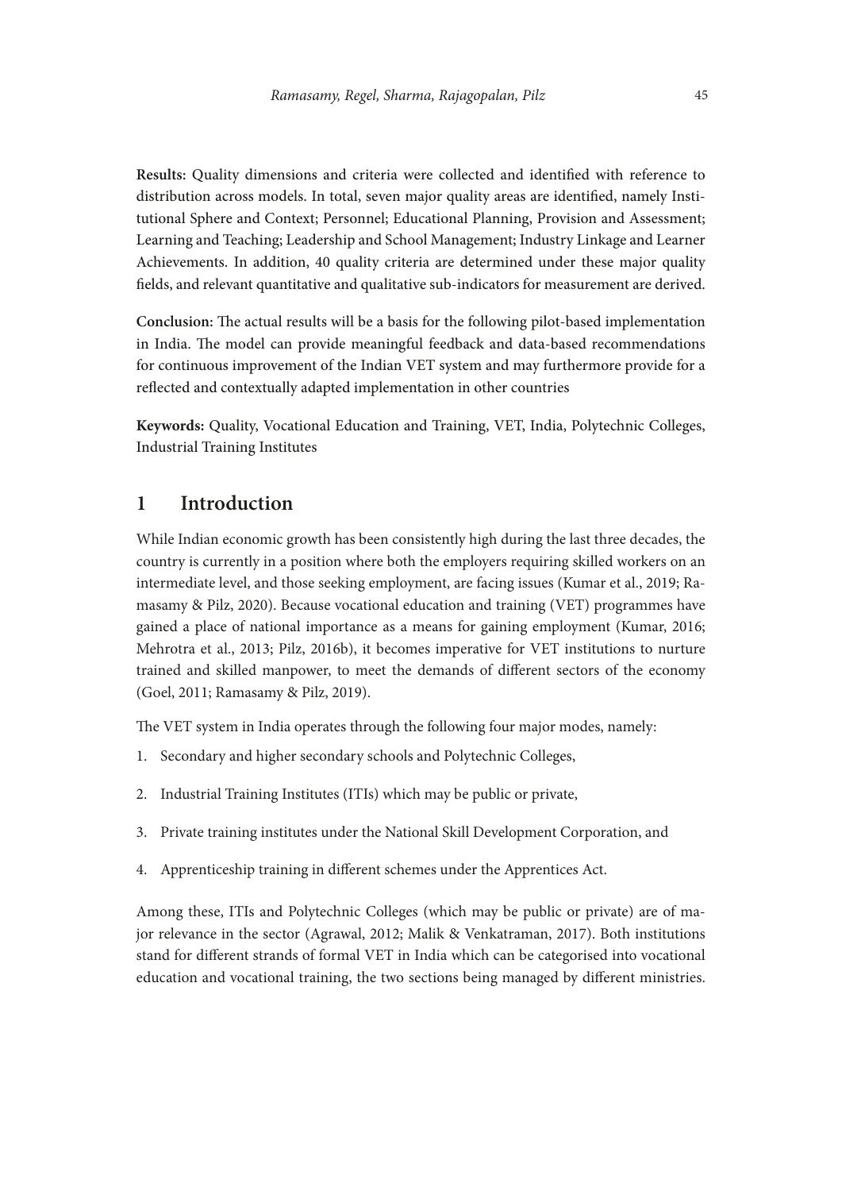**Results:** Quality dimensions and criteria were collected and identified with reference to distribution across models. In total, seven major quality areas are identified, namely Institutional Sphere and Context; Personnel; Educational Planning, Provision and Assessment; Learning and Teaching; Leadership and School Management; Industry Linkage and Learner Achievements. In addition, 40 quality criteria are determined under these major quality fields, and relevant quantitative and qualitative sub-indicators for measurement are derived.

**Conclusion:** The actual results will be a basis for the following pilot-based implementation in India. The model can provide meaningful feedback and data-based recommendations for continuous improvement of the Indian VET system and may furthermore provide for a reflected and contextually adapted implementation in other countries

**Keywords:** Quality, Vocational Education and Training, VET, India, Polytechnic Colleges, Industrial Training Institutes

# **1 Introduction**

While Indian economic growth has been consistently high during the last three decades, the country is currently in a position where both the employers requiring skilled workers on an intermediate level, and those seeking employment, are facing issues (Kumar et al., 2019; Ramasamy & Pilz, 2020). Because vocational education and training (VET) programmes have gained a place of national importance as a means for gaining employment (Kumar, 2016; Mehrotra et al., 2013; Pilz, 2016b), it becomes imperative for VET institutions to nurture trained and skilled manpower, to meet the demands of different sectors of the economy (Goel, 2011; Ramasamy & Pilz, 2019).

The VET system in India operates through the following four major modes, namely:

- 1. Secondary and higher secondary schools and Polytechnic Colleges,
- 2. Industrial Training Institutes (ITIs) which may be public or private,
- 3. Private training institutes under the National Skill Development Corporation, and
- 4. Apprenticeship training in different schemes under the Apprentices Act.

Among these, ITIs and Polytechnic Colleges (which may be public or private) are of major relevance in the sector (Agrawal, 2012; Malik & Venkatraman, 2017). Both institutions stand for different strands of formal VET in India which can be categorised into vocational education and vocational training, the two sections being managed by different ministries.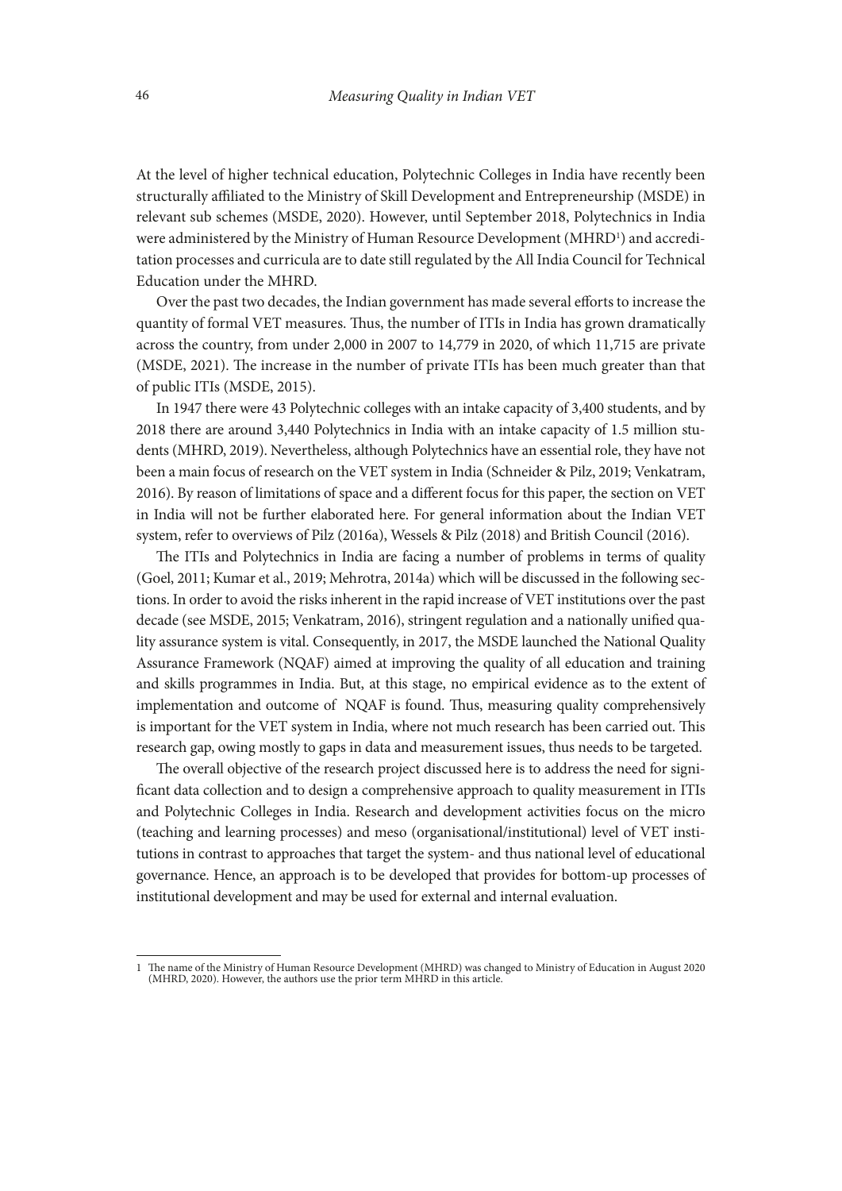At the level of higher technical education, Polytechnic Colleges in India have recently been structurally affiliated to the Ministry of Skill Development and Entrepreneurship (MSDE) in relevant sub schemes (MSDE, 2020). However, until September 2018, Polytechnics in India were administered by the Ministry of Human Resource Development (MHRD<sup>1</sup>) and accreditation processes and curricula are to date still regulated by the All India Council for Technical Education under the MHRD.

Over the past two decades, the Indian government has made several efforts to increase the quantity of formal VET measures. Thus, the number of ITIs in India has grown dramatically across the country, from under 2,000 in 2007 to 14,779 in 2020, of which 11,715 are private (MSDE, 2021). The increase in the number of private ITIs has been much greater than that of public ITIs (MSDE, 2015).

In 1947 there were 43 Polytechnic colleges with an intake capacity of 3,400 students, and by 2018 there are around 3,440 Polytechnics in India with an intake capacity of 1.5 million students (MHRD, 2019). Nevertheless, although Polytechnics have an essential role, they have not been a main focus of research on the VET system in India (Schneider & Pilz, 2019; Venkatram, 2016). By reason of limitations of space and a different focus for this paper, the section on VET in India will not be further elaborated here. For general information about the Indian VET system, refer to overviews of Pilz (2016a), Wessels & Pilz (2018) and British Council (2016).

The ITIs and Polytechnics in India are facing a number of problems in terms of quality (Goel, 2011; Kumar et al., 2019; Mehrotra, 2014a) which will be discussed in the following sections. In order to avoid the risks inherent in the rapid increase of VET institutions over the past decade (see MSDE, 2015; Venkatram, 2016), stringent regulation and a nationally unified quality assurance system is vital. Consequently, in 2017, the MSDE launched the National Quality Assurance Framework (NQAF) aimed at improving the quality of all education and training and skills programmes in India. But, at this stage, no empirical evidence as to the extent of implementation and outcome of NQAF is found. Thus, measuring quality comprehensively is important for the VET system in India, where not much research has been carried out. This research gap, owing mostly to gaps in data and measurement issues, thus needs to be targeted.

The overall objective of the research project discussed here is to address the need for significant data collection and to design a comprehensive approach to quality measurement in ITIs and Polytechnic Colleges in India. Research and development activities focus on the micro (teaching and learning processes) and meso (organisational/institutional) level of VET institutions in contrast to approaches that target the system- and thus national level of educational governance. Hence, an approach is to be developed that provides for bottom-up processes of institutional development and may be used for external and internal evaluation.

<sup>1</sup> The name of the Ministry of Human Resource Development (MHRD) was changed to Ministry of Education in August 2020 (MHRD, 2020). However, the authors use the prior term MHRD in this article.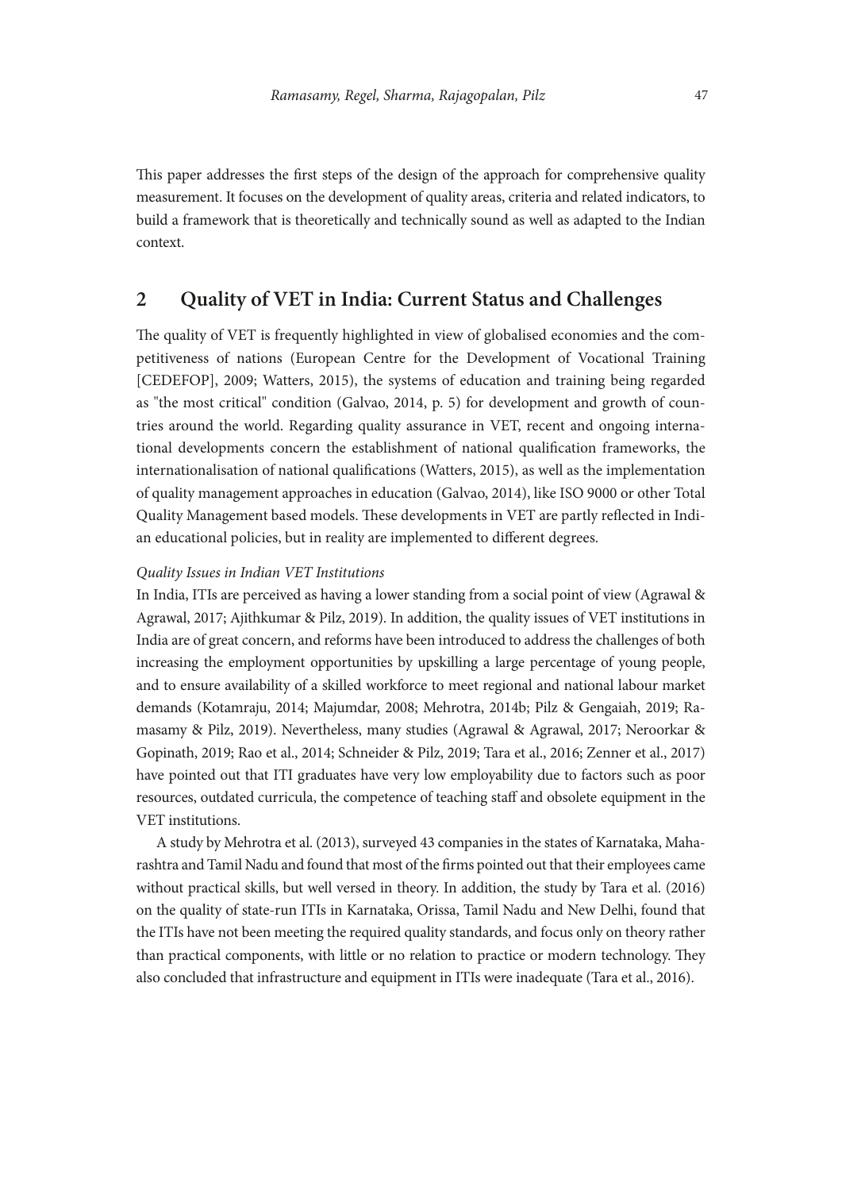This paper addresses the first steps of the design of the approach for comprehensive quality measurement. It focuses on the development of quality areas, criteria and related indicators, to build a framework that is theoretically and technically sound as well as adapted to the Indian context.

#### **2 Quality of VET in India: Current Status and Challenges**

The quality of VET is frequently highlighted in view of globalised economies and the competitiveness of nations (European Centre for the Development of Vocational Training [CEDEFOP], 2009; Watters, 2015), the systems of education and training being regarded as "the most critical" condition (Galvao, 2014, p. 5) for development and growth of countries around the world. Regarding quality assurance in VET, recent and ongoing international developments concern the establishment of national qualification frameworks, the internationalisation of national qualifications (Watters, 2015), as well as the implementation of quality management approaches in education (Galvao, 2014), like ISO 9000 or other Total Quality Management based models. These developments in VET are partly reflected in Indian educational policies, but in reality are implemented to different degrees.

#### *Quality Issues in Indian VET Institutions*

In India, ITIs are perceived as having a lower standing from a social point of view (Agrawal & Agrawal, 2017; Ajithkumar & Pilz, 2019). In addition, the quality issues of VET institutions in India are of great concern, and reforms have been introduced to address the challenges of both increasing the employment opportunities by upskilling a large percentage of young people, and to ensure availability of a skilled workforce to meet regional and national labour market demands (Kotamraju, 2014; Majumdar, 2008; Mehrotra, 2014b; Pilz & Gengaiah, 2019; Ramasamy & Pilz, 2019). Nevertheless, many studies (Agrawal & Agrawal, 2017; Neroorkar & Gopinath, 2019; Rao et al., 2014; Schneider & Pilz, 2019; Tara et al., 2016; Zenner et al., 2017) have pointed out that ITI graduates have very low employability due to factors such as poor resources, outdated curricula, the competence of teaching staff and obsolete equipment in the VET institutions.

A study by Mehrotra et al. (2013), surveyed 43 companies in the states of Karnataka, Maharashtra and Tamil Nadu and found that most of the firms pointed out that their employees came without practical skills, but well versed in theory. In addition, the study by Tara et al. (2016) on the quality of state-run ITIs in Karnataka, Orissa, Tamil Nadu and New Delhi, found that the ITIs have not been meeting the required quality standards, and focus only on theory rather than practical components, with little or no relation to practice or modern technology. They also concluded that infrastructure and equipment in ITIs were inadequate (Tara et al., 2016).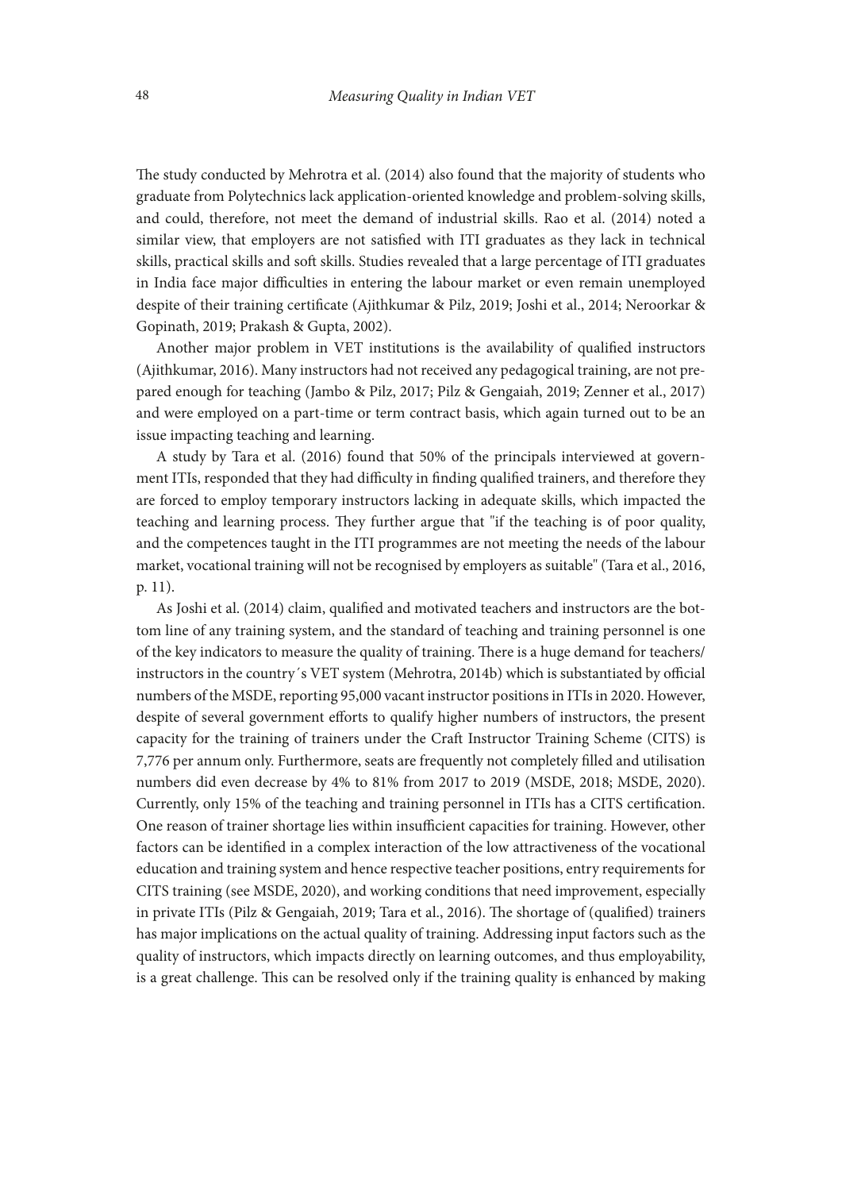The study conducted by Mehrotra et al. (2014) also found that the majority of students who graduate from Polytechnics lack application-oriented knowledge and problem-solving skills, and could, therefore, not meet the demand of industrial skills. Rao et al. (2014) noted a similar view, that employers are not satisfied with ITI graduates as they lack in technical skills, practical skills and soft skills. Studies revealed that a large percentage of ITI graduates in India face major difficulties in entering the labour market or even remain unemployed despite of their training certificate (Ajithkumar & Pilz, 2019; Joshi et al., 2014; Neroorkar & Gopinath, 2019; Prakash & Gupta, 2002).

Another major problem in VET institutions is the availability of qualified instructors (Ajithkumar, 2016). Many instructors had not received any pedagogical training, are not prepared enough for teaching (Jambo & Pilz, 2017; Pilz & Gengaiah, 2019; Zenner et al., 2017) and were employed on a part-time or term contract basis, which again turned out to be an issue impacting teaching and learning.

A study by Tara et al. (2016) found that 50% of the principals interviewed at government ITIs, responded that they had difficulty in finding qualified trainers, and therefore they are forced to employ temporary instructors lacking in adequate skills, which impacted the teaching and learning process. They further argue that "if the teaching is of poor quality, and the competences taught in the ITI programmes are not meeting the needs of the labour market, vocational training will not be recognised by employers as suitable" (Tara et al., 2016, p. 11).

As Joshi et al. (2014) claim, qualified and motivated teachers and instructors are the bottom line of any training system, and the standard of teaching and training personnel is one of the key indicators to measure the quality of training. There is a huge demand for teachers/ instructors in the country´s VET system (Mehrotra, 2014b) which is substantiated by official numbers of the MSDE, reporting 95,000 vacant instructor positions in ITIs in 2020. However, despite of several government efforts to qualify higher numbers of instructors, the present capacity for the training of trainers under the Craft Instructor Training Scheme (CITS) is 7,776 per annum only. Furthermore, seats are frequently not completely filled and utilisation numbers did even decrease by 4% to 81% from 2017 to 2019 (MSDE, 2018; MSDE, 2020). Currently, only 15% of the teaching and training personnel in ITIs has a CITS certification. One reason of trainer shortage lies within insufficient capacities for training. However, other factors can be identified in a complex interaction of the low attractiveness of the vocational education and training system and hence respective teacher positions, entry requirements for CITS training (see MSDE, 2020), and working conditions that need improvement, especially in private ITIs (Pilz & Gengaiah, 2019; Tara et al., 2016). The shortage of (qualified) trainers has major implications on the actual quality of training. Addressing input factors such as the quality of instructors, which impacts directly on learning outcomes, and thus employability, is a great challenge. This can be resolved only if the training quality is enhanced by making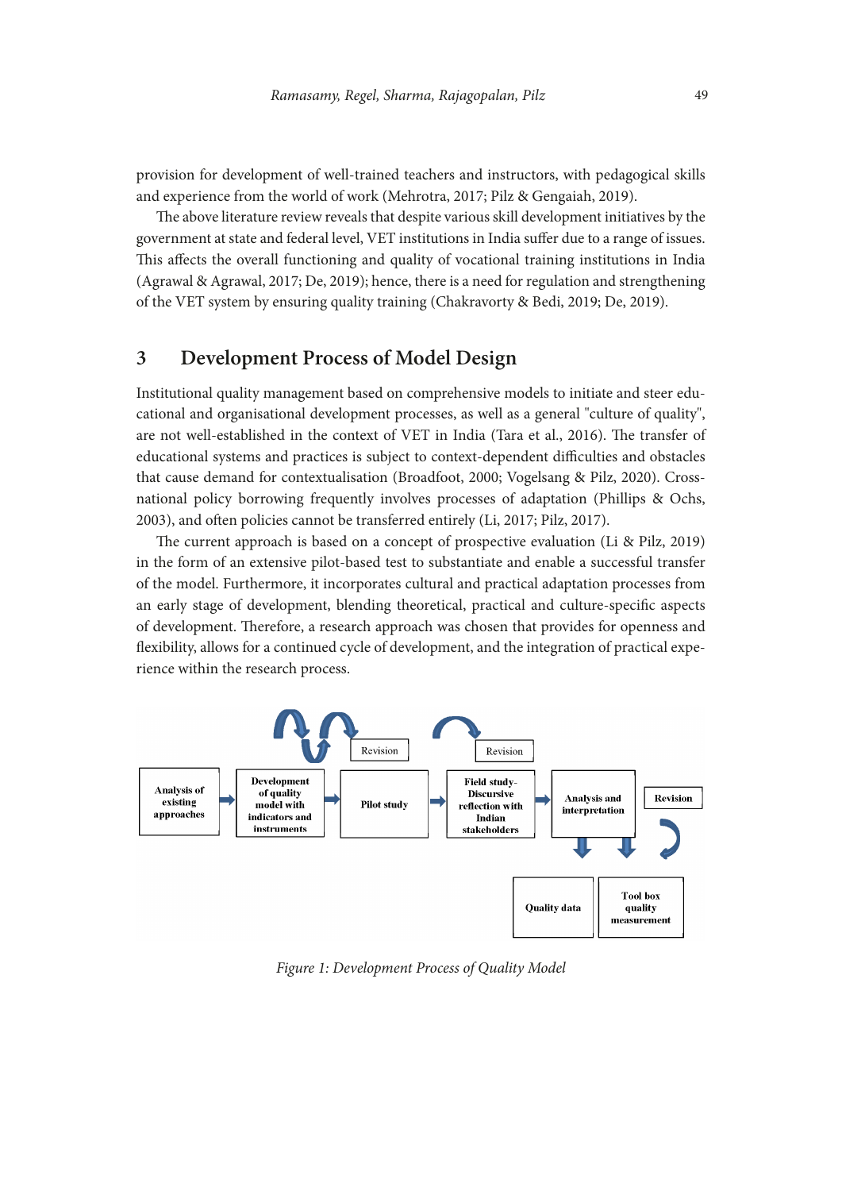provision for development of well-trained teachers and instructors, with pedagogical skills and experience from the world of work (Mehrotra, 2017; Pilz & Gengaiah, 2019).

The above literature review reveals that despite various skill development initiatives by the government at state and federal level, VET institutions in India suffer due to a range of issues. This affects the overall functioning and quality of vocational training institutions in India (Agrawal & Agrawal, 2017; De, 2019); hence, there is a need for regulation and strengthening of the VET system by ensuring quality training (Chakravorty & Bedi, 2019; De, 2019).

# **3 Development Process of Model Design**

Institutional quality management based on comprehensive models to initiate and steer educational and organisational development processes, as well as a general "culture of quality", are not well-established in the context of VET in India (Tara et al., 2016). The transfer of educational systems and practices is subject to context-dependent difficulties and obstacles that cause demand for contextualisation (Broadfoot, 2000; Vogelsang & Pilz, 2020). Crossnational policy borrowing frequently involves processes of adaptation (Phillips & Ochs, 2003), and often policies cannot be transferred entirely (Li, 2017; Pilz, 2017).

The current approach is based on a concept of prospective evaluation (Li & Pilz, 2019) in the form of an extensive pilot-based test to substantiate and enable a successful transfer of the model. Furthermore, it incorporates cultural and practical adaptation processes from an early stage of development, blending theoretical, practical and culture-specific aspects of development. Therefore, a research approach was chosen that provides for openness and flexibility, allows for a continued cycle of development, and the integration of practical experience within the research process.



*Figure 1: Development Process of Quality Model*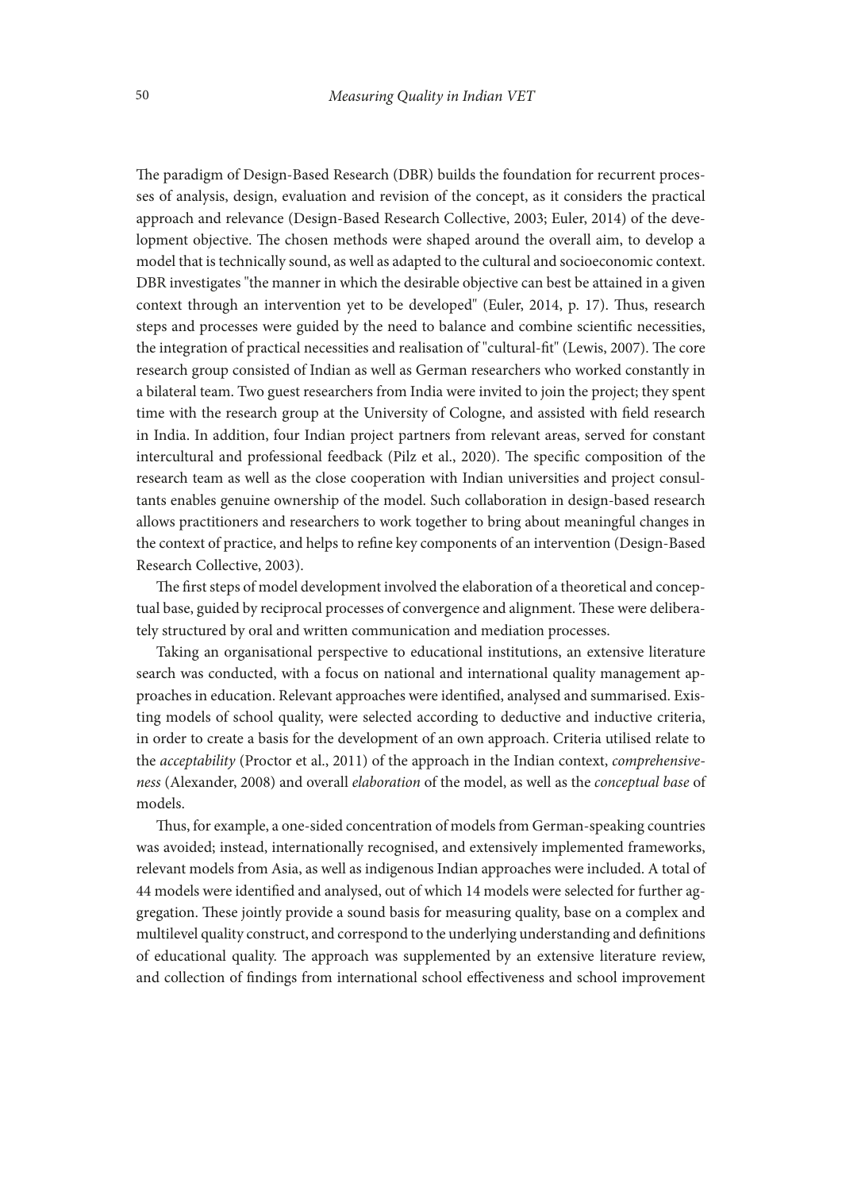The paradigm of Design-Based Research (DBR) builds the foundation for recurrent processes of analysis, design, evaluation and revision of the concept, as it considers the practical approach and relevance (Design-Based Research Collective, 2003; Euler, 2014) of the development objective. The chosen methods were shaped around the overall aim, to develop a model that is technically sound, as well as adapted to the cultural and socioeconomic context. DBR investigates "the manner in which the desirable objective can best be attained in a given context through an intervention yet to be developed" (Euler, 2014, p. 17). Thus, research steps and processes were guided by the need to balance and combine scientific necessities, the integration of practical necessities and realisation of "cultural-fit" (Lewis, 2007). The core research group consisted of Indian as well as German researchers who worked constantly in a bilateral team. Two guest researchers from India were invited to join the project; they spent time with the research group at the University of Cologne, and assisted with field research in India. In addition, four Indian project partners from relevant areas, served for constant intercultural and professional feedback (Pilz et al., 2020). The specific composition of the research team as well as the close cooperation with Indian universities and project consultants enables genuine ownership of the model. Such collaboration in design-based research allows practitioners and researchers to work together to bring about meaningful changes in the context of practice, and helps to refine key components of an intervention (Design-Based Research Collective, 2003).

The first steps of model development involved the elaboration of a theoretical and conceptual base, guided by reciprocal processes of convergence and alignment. These were deliberately structured by oral and written communication and mediation processes.

Taking an organisational perspective to educational institutions, an extensive literature search was conducted, with a focus on national and international quality management approaches in education. Relevant approaches were identified, analysed and summarised. Existing models of school quality, were selected according to deductive and inductive criteria, in order to create a basis for the development of an own approach. Criteria utilised relate to the *acceptability* (Proctor et al., 2011) of the approach in the Indian context, *comprehensiveness* (Alexander, 2008) and overall *elaboration* of the model, as well as the *conceptual base* of models.

Thus, for example, a one-sided concentration of models from German-speaking countries was avoided; instead, internationally recognised, and extensively implemented frameworks, relevant models from Asia, as well as indigenous Indian approaches were included. A total of 44 models were identified and analysed, out of which 14 models were selected for further aggregation. These jointly provide a sound basis for measuring quality, base on a complex and multilevel quality construct, and correspond to the underlying understanding and definitions of educational quality. The approach was supplemented by an extensive literature review, and collection of findings from international school effectiveness and school improvement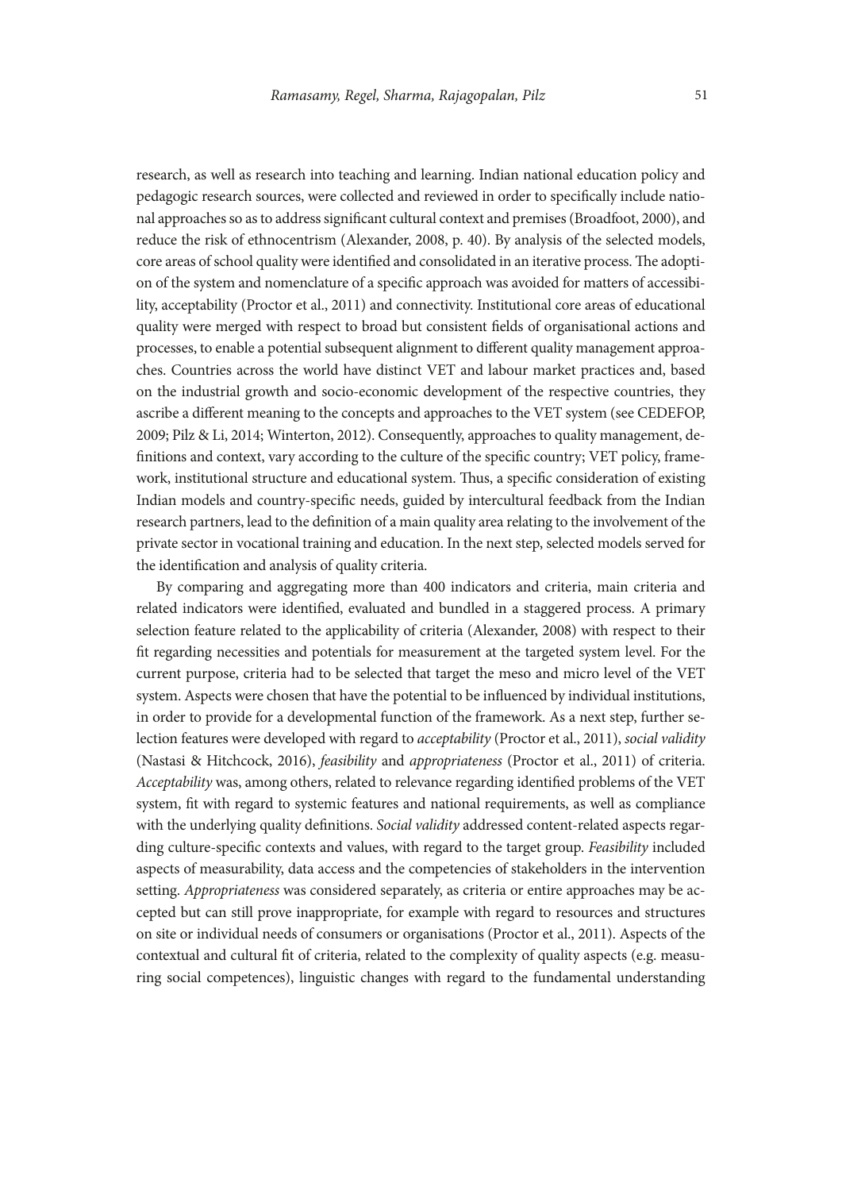research, as well as research into teaching and learning. Indian national education policy and pedagogic research sources, were collected and reviewed in order to specifically include national approaches so as to address significant cultural context and premises (Broadfoot, 2000), and reduce the risk of ethnocentrism (Alexander, 2008, p. 40). By analysis of the selected models, core areas of school quality were identified and consolidated in an iterative process. The adoption of the system and nomenclature of a specific approach was avoided for matters of accessibility, acceptability (Proctor et al., 2011) and connectivity. Institutional core areas of educational quality were merged with respect to broad but consistent fields of organisational actions and processes, to enable a potential subsequent alignment to different quality management approaches. Countries across the world have distinct VET and labour market practices and, based on the industrial growth and socio-economic development of the respective countries, they ascribe a different meaning to the concepts and approaches to the VET system (see CEDEFOP, 2009; Pilz & Li, 2014; Winterton, 2012). Consequently, approaches to quality management, definitions and context, vary according to the culture of the specific country; VET policy, framework, institutional structure and educational system. Thus, a specific consideration of existing Indian models and country-specific needs, guided by intercultural feedback from the Indian research partners, lead to the definition of a main quality area relating to the involvement of the private sector in vocational training and education. In the next step, selected models served for the identification and analysis of quality criteria.

By comparing and aggregating more than 400 indicators and criteria, main criteria and related indicators were identified, evaluated and bundled in a staggered process. A primary selection feature related to the applicability of criteria (Alexander, 2008) with respect to their fit regarding necessities and potentials for measurement at the targeted system level. For the current purpose, criteria had to be selected that target the meso and micro level of the VET system. Aspects were chosen that have the potential to be influenced by individual institutions, in order to provide for a developmental function of the framework. As a next step, further selection features were developed with regard to *acceptability* (Proctor et al., 2011), *social validity* (Nastasi & Hitchcock, 2016), *feasibility* and *appropriateness* (Proctor et al., 2011) of criteria. *Acceptability* was, among others, related to relevance regarding identified problems of the VET system, fit with regard to systemic features and national requirements, as well as compliance with the underlying quality definitions. *Social validity* addressed content-related aspects regarding culture-specific contexts and values, with regard to the target group. *Feasibility* included aspects of measurability, data access and the competencies of stakeholders in the intervention setting. *Appropriateness* was considered separately, as criteria or entire approaches may be accepted but can still prove inappropriate, for example with regard to resources and structures on site or individual needs of consumers or organisations (Proctor et al., 2011). Aspects of the contextual and cultural fit of criteria, related to the complexity of quality aspects (e.g. measuring social competences), linguistic changes with regard to the fundamental understanding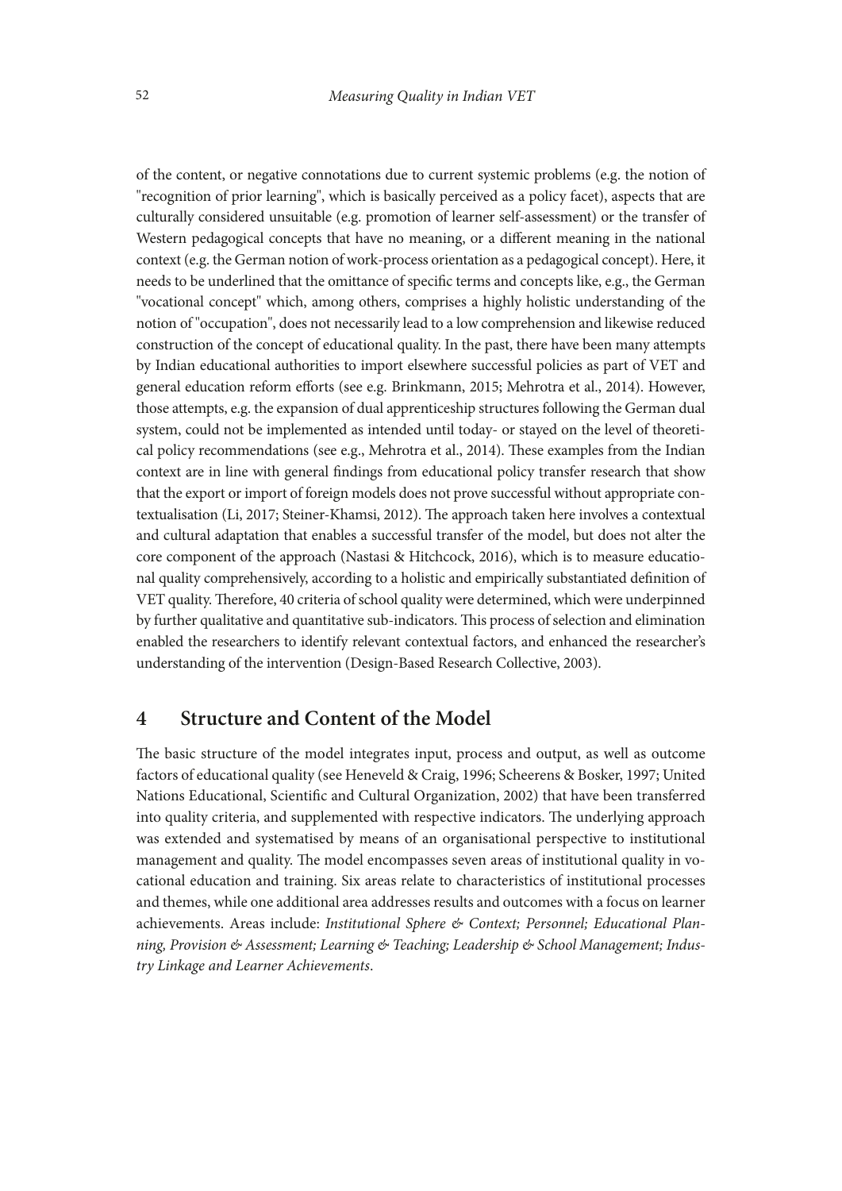of the content, or negative connotations due to current systemic problems (e.g. the notion of "recognition of prior learning", which is basically perceived as a policy facet), aspects that are culturally considered unsuitable (e.g. promotion of learner self-assessment) or the transfer of Western pedagogical concepts that have no meaning, or a different meaning in the national context (e.g. the German notion of work-process orientation as a pedagogical concept). Here, it needs to be underlined that the omittance of specific terms and concepts like, e.g., the German "vocational concept" which, among others, comprises a highly holistic understanding of the notion of "occupation", does not necessarily lead to a low comprehension and likewise reduced construction of the concept of educational quality. In the past, there have been many attempts by Indian educational authorities to import elsewhere successful policies as part of VET and general education reform efforts (see e.g. Brinkmann, 2015; Mehrotra et al., 2014). However, those attempts, e.g. the expansion of dual apprenticeship structures following the German dual system, could not be implemented as intended until today- or stayed on the level of theoretical policy recommendations (see e.g., Mehrotra et al., 2014). These examples from the Indian context are in line with general findings from educational policy transfer research that show that the export or import of foreign models does not prove successful without appropriate contextualisation (Li, 2017; Steiner-Khamsi, 2012). The approach taken here involves a contextual and cultural adaptation that enables a successful transfer of the model, but does not alter the core component of the approach (Nastasi & Hitchcock, 2016), which is to measure educational quality comprehensively, according to a holistic and empirically substantiated definition of VET quality. Therefore, 40 criteria of school quality were determined, which were underpinned by further qualitative and quantitative sub-indicators. This process of selection and elimination enabled the researchers to identify relevant contextual factors, and enhanced the researcher's understanding of the intervention (Design-Based Research Collective, 2003).

# **4 Structure and Content of the Model**

The basic structure of the model integrates input, process and output, as well as outcome factors of educational quality (see Heneveld & Craig, 1996; Scheerens & Bosker, 1997; United Nations Educational, Scientific and Cultural Organization, 2002) that have been transferred into quality criteria, and supplemented with respective indicators. The underlying approach was extended and systematised by means of an organisational perspective to institutional management and quality. The model encompasses seven areas of institutional quality in vocational education and training. Six areas relate to characteristics of institutional processes and themes, while one additional area addresses results and outcomes with a focus on learner achievements. Areas include: *Institutional Sphere & Context; Personnel; Educational Planning, Provision & Assessment; Learning & Teaching; Leadership & School Management; Industry Linkage and Learner Achievements*.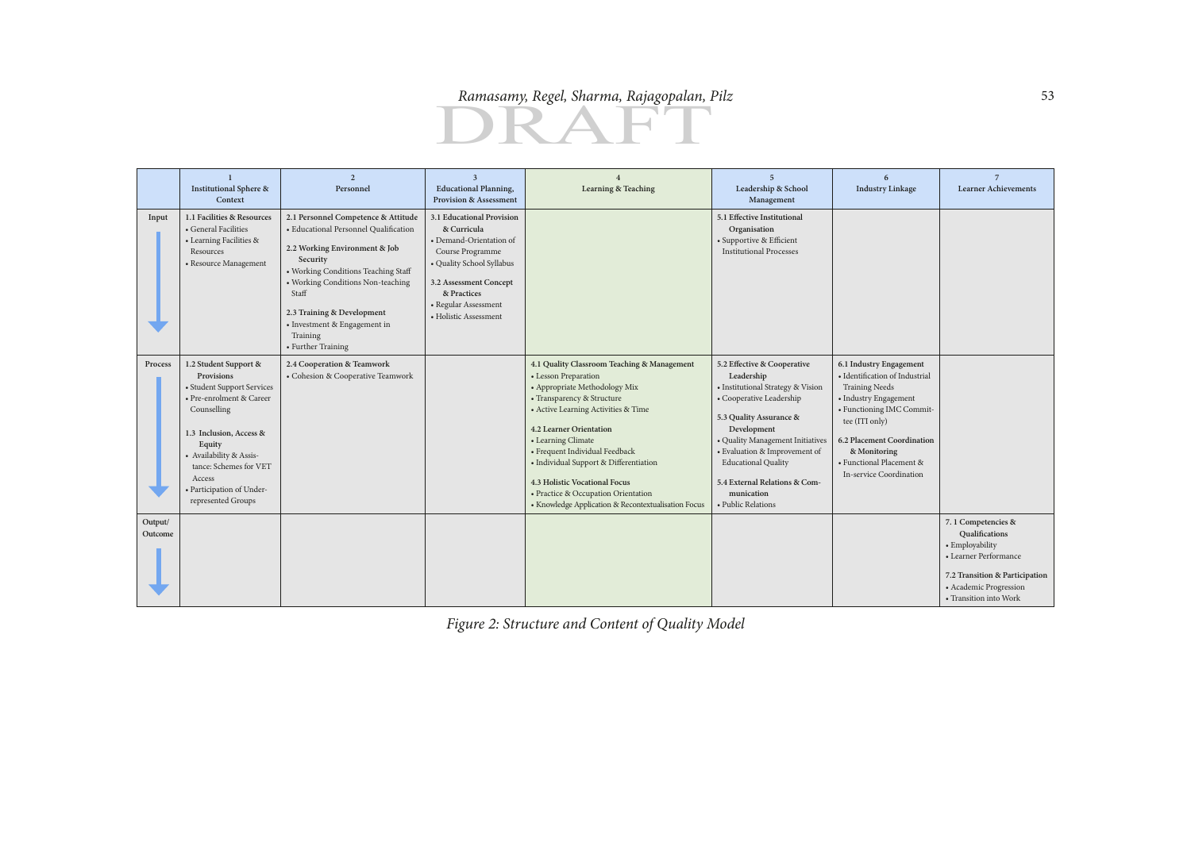

|                    | <b>Institutional Sphere &amp;</b>                                                                                                                                                                                                                                   | Personnel                                                                                                                                                                                                                                                                                                      | $\overline{3}$<br><b>Educational Planning,</b>                                                                                                                                                                 | Learning & Teaching                                                                                                                                                                                                                                                                                                                                                                                                                          | $\overline{5}$<br>Leadership & School                                                                                                                                                                                                                                                                                        | 6<br><b>Industry Linkage</b>                                                                                                                                                                                                                                    | <b>Learner Achievements</b>                                                                                                                                            |
|--------------------|---------------------------------------------------------------------------------------------------------------------------------------------------------------------------------------------------------------------------------------------------------------------|----------------------------------------------------------------------------------------------------------------------------------------------------------------------------------------------------------------------------------------------------------------------------------------------------------------|----------------------------------------------------------------------------------------------------------------------------------------------------------------------------------------------------------------|----------------------------------------------------------------------------------------------------------------------------------------------------------------------------------------------------------------------------------------------------------------------------------------------------------------------------------------------------------------------------------------------------------------------------------------------|------------------------------------------------------------------------------------------------------------------------------------------------------------------------------------------------------------------------------------------------------------------------------------------------------------------------------|-----------------------------------------------------------------------------------------------------------------------------------------------------------------------------------------------------------------------------------------------------------------|------------------------------------------------------------------------------------------------------------------------------------------------------------------------|
|                    | Context                                                                                                                                                                                                                                                             |                                                                                                                                                                                                                                                                                                                | <b>Provision &amp; Assessment</b>                                                                                                                                                                              |                                                                                                                                                                                                                                                                                                                                                                                                                                              | Management                                                                                                                                                                                                                                                                                                                   |                                                                                                                                                                                                                                                                 |                                                                                                                                                                        |
| Input              | 1.1 Facilities & Resources<br>• General Facilities<br>• Learning Facilities &<br>Resources<br>· Resource Management                                                                                                                                                 | 2.1 Personnel Competence & Attitude<br>· Educational Personnel Qualification<br>2.2 Working Environment & Job<br>Security<br>• Working Conditions Teaching Staff<br>• Working Conditions Non-teaching<br>Staff<br>2.3 Training & Development<br>• Investment & Engagement in<br>Training<br>• Further Training | 3.1 Educational Provision<br>& Curricula<br>• Demand-Orientation of<br>Course Programme<br>· Quality School Syllabus<br>3.2 Assessment Concept<br>& Practices<br>• Regular Assessment<br>• Holistic Assessment |                                                                                                                                                                                                                                                                                                                                                                                                                                              | 5.1 Effective Institutional<br>Organisation<br>· Supportive & Efficient<br><b>Institutional Processes</b>                                                                                                                                                                                                                    |                                                                                                                                                                                                                                                                 |                                                                                                                                                                        |
| Process            | 1.2 Student Support &<br>Provisions<br>• Student Support Services<br>• Pre-enrolment & Career<br>Counselling<br>1.3 Inclusion, Access &<br>Equity<br>• Availability & Assis-<br>tance: Schemes for VET<br>Access<br>· Participation of Under-<br>represented Groups | 2.4 Cooperation & Teamwork<br>• Cohesion & Cooperative Teamwork                                                                                                                                                                                                                                                |                                                                                                                                                                                                                | 4.1 Quality Classroom Teaching & Management<br>• Lesson Preparation<br>• Appropriate Methodology Mix<br>• Transparency & Structure<br>• Active Learning Activities & Time<br><b>4.2 Learner Orientation</b><br>• Learning Climate<br>• Frequent Individual Feedback<br>• Individual Support & Differentiation<br>4.3 Holistic Vocational Focus<br>• Practice & Occupation Orientation<br>• Knowledge Application & Recontextualisation Focus | 5.2 Effective & Cooperative<br>Leadership<br>• Institutional Strategy & Vision<br>• Cooperative Leadership<br>5.3 Quality Assurance &<br>Development<br>· Quality Management Initiatives<br>· Evaluation & Improvement of<br><b>Educational Quality</b><br>5.4 External Relations & Com-<br>munication<br>• Public Relations | 6.1 Industry Engagement<br>· Identification of Industrial<br><b>Training Needs</b><br>• Industry Engagement<br>• Functioning IMC Commit-<br>tee (ITI only)<br>6.2 Placement Coordination<br>& Monitoring<br>• Functional Placement &<br>In-service Coordination |                                                                                                                                                                        |
| Output/<br>Outcome |                                                                                                                                                                                                                                                                     |                                                                                                                                                                                                                                                                                                                |                                                                                                                                                                                                                |                                                                                                                                                                                                                                                                                                                                                                                                                                              |                                                                                                                                                                                                                                                                                                                              |                                                                                                                                                                                                                                                                 | 7.1 Competencies &<br>Qualifications<br>• Employability<br>• Learner Performance<br>7.2 Transition & Participation<br>• Academic Progression<br>• Transition into Work |

*Figure 2: Structure and Content of Quality Model*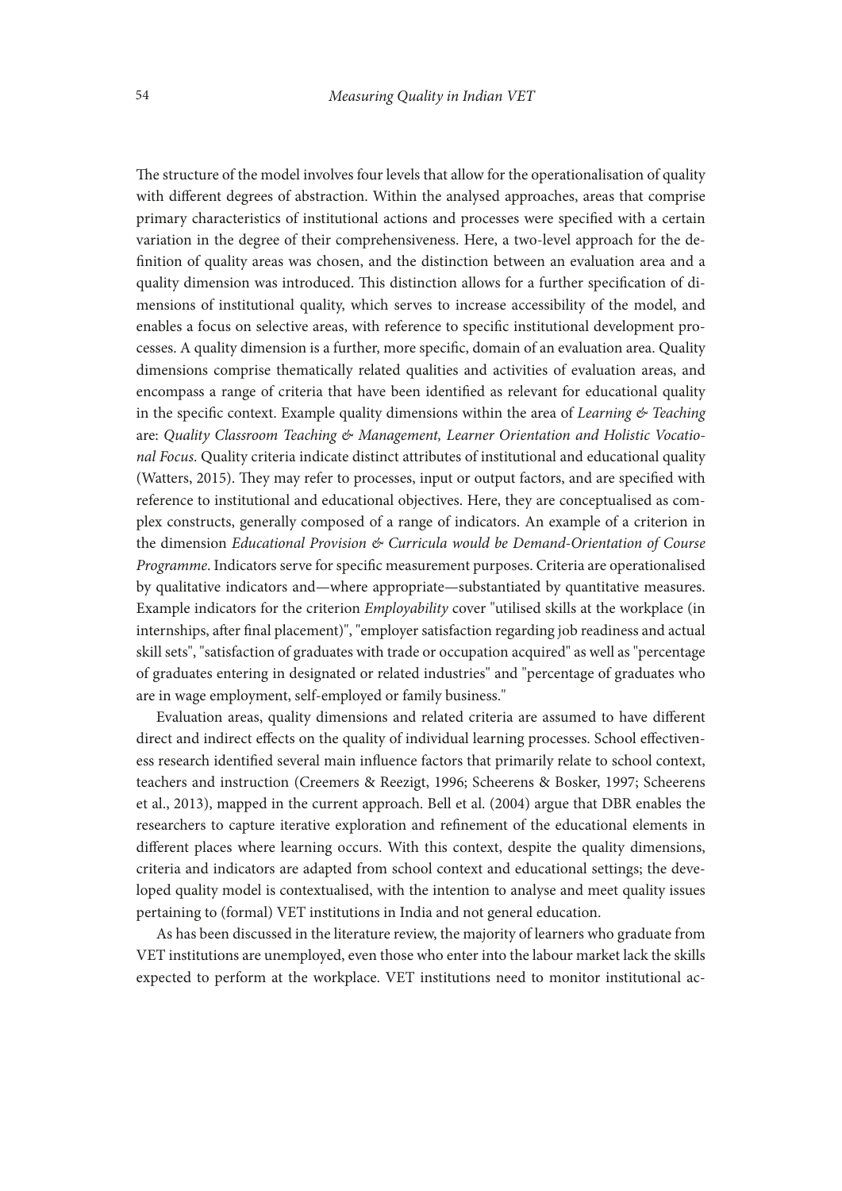The structure of the model involves four levels that allow for the operationalisation of quality with different degrees of abstraction. Within the analysed approaches, areas that comprise primary characteristics of institutional actions and processes were specified with a certain variation in the degree of their comprehensiveness. Here, a two-level approach for the definition of quality areas was chosen, and the distinction between an evaluation area and a quality dimension was introduced. This distinction allows for a further specification of dimensions of institutional quality, which serves to increase accessibility of the model, and enables a focus on selective areas, with reference to specific institutional development processes. A quality dimension is a further, more specific, domain of an evaluation area. Quality dimensions comprise thematically related qualities and activities of evaluation areas, and encompass a range of criteria that have been identified as relevant for educational quality in the specific context. Example quality dimensions within the area of *Learning & Teaching* are: *Quality Classroom Teaching & Management, Learner Orientation and Holistic Vocational Focus*. Quality criteria indicate distinct attributes of institutional and educational quality (Watters, 2015). They may refer to processes, input or output factors, and are specified with reference to institutional and educational objectives. Here, they are conceptualised as complex constructs, generally composed of a range of indicators. An example of a criterion in the dimension *Educational Provision & Curricula would be Demand-Orientation of Course Programme*. Indicators serve for specific measurement purposes. Criteria are operationalised by qualitative indicators and—where appropriate—substantiated by quantitative measures. Example indicators for the criterion *Employability* cover "utilised skills at the workplace (in internships, after final placement)", "employer satisfaction regarding job readiness and actual skill sets", "satisfaction of graduates with trade or occupation acquired" as well as "percentage of graduates entering in designated or related industries" and "percentage of graduates who are in wage employment, self-employed or family business."

Evaluation areas, quality dimensions and related criteria are assumed to have different direct and indirect effects on the quality of individual learning processes. School effectiveness research identified several main influence factors that primarily relate to school context, teachers and instruction (Creemers & Reezigt, 1996; Scheerens & Bosker, 1997; Scheerens et al., 2013), mapped in the current approach. Bell et al. (2004) argue that DBR enables the researchers to capture iterative exploration and refinement of the educational elements in different places where learning occurs. With this context, despite the quality dimensions, criteria and indicators are adapted from school context and educational settings; the developed quality model is contextualised, with the intention to analyse and meet quality issues pertaining to (formal) VET institutions in India and not general education.

As has been discussed in the literature review, the majority of learners who graduate from VET institutions are unemployed, even those who enter into the labour market lack the skills expected to perform at the workplace. VET institutions need to monitor institutional ac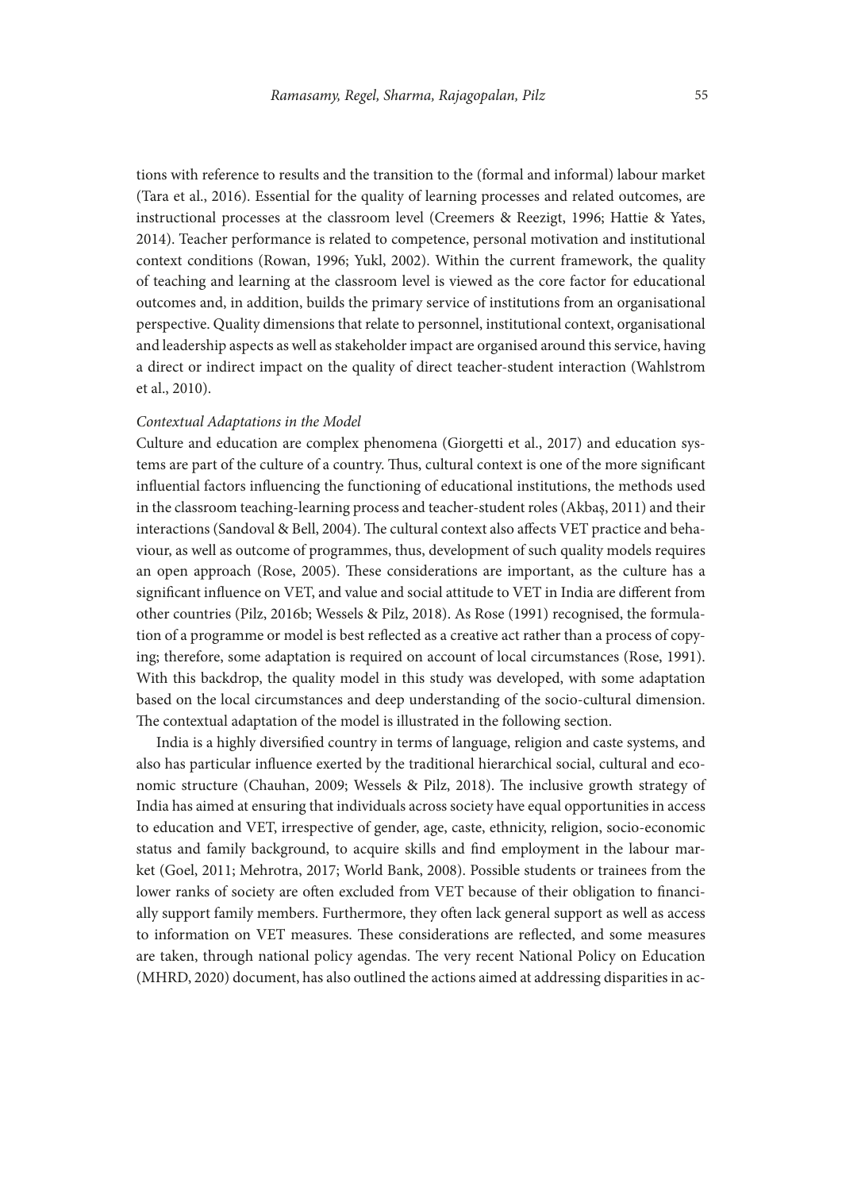tions with reference to results and the transition to the (formal and informal) labour market (Tara et al., 2016). Essential for the quality of learning processes and related outcomes, are instructional processes at the classroom level (Creemers & Reezigt, 1996; Hattie & Yates, 2014). Teacher performance is related to competence, personal motivation and institutional context conditions (Rowan, 1996; Yukl, 2002). Within the current framework, the quality of teaching and learning at the classroom level is viewed as the core factor for educational outcomes and, in addition, builds the primary service of institutions from an organisational perspective. Quality dimensions that relate to personnel, institutional context, organisational and leadership aspects as well as stakeholder impact are organised around this service, having a direct or indirect impact on the quality of direct teacher-student interaction (Wahlstrom et al., 2010).

#### *Contextual Adaptations in the Model*

Culture and education are complex phenomena (Giorgetti et al., 2017) and education systems are part of the culture of a country. Thus, cultural context is one of the more significant influential factors influencing the functioning of educational institutions, the methods used in the classroom teaching-learning process and teacher-student roles (Akbaş, 2011) and their interactions (Sandoval & Bell, 2004). The cultural context also affects VET practice and behaviour, as well as outcome of programmes, thus, development of such quality models requires an open approach (Rose, 2005). These considerations are important, as the culture has a significant influence on VET, and value and social attitude to VET in India are different from other countries (Pilz, 2016b; Wessels & Pilz, 2018). As Rose (1991) recognised, the formulation of a programme or model is best reflected as a creative act rather than a process of copying; therefore, some adaptation is required on account of local circumstances (Rose, 1991). With this backdrop, the quality model in this study was developed, with some adaptation based on the local circumstances and deep understanding of the socio-cultural dimension. The contextual adaptation of the model is illustrated in the following section.

India is a highly diversified country in terms of language, religion and caste systems, and also has particular influence exerted by the traditional hierarchical social, cultural and economic structure (Chauhan, 2009; Wessels & Pilz, 2018). The inclusive growth strategy of India has aimed at ensuring that individuals across society have equal opportunities in access to education and VET, irrespective of gender, age, caste, ethnicity, religion, socio-economic status and family background, to acquire skills and find employment in the labour market (Goel, 2011; Mehrotra, 2017; World Bank, 2008). Possible students or trainees from the lower ranks of society are often excluded from VET because of their obligation to financially support family members. Furthermore, they often lack general support as well as access to information on VET measures. These considerations are reflected, and some measures are taken, through national policy agendas. The very recent National Policy on Education (MHRD, 2020) document, has also outlined the actions aimed at addressing disparities in ac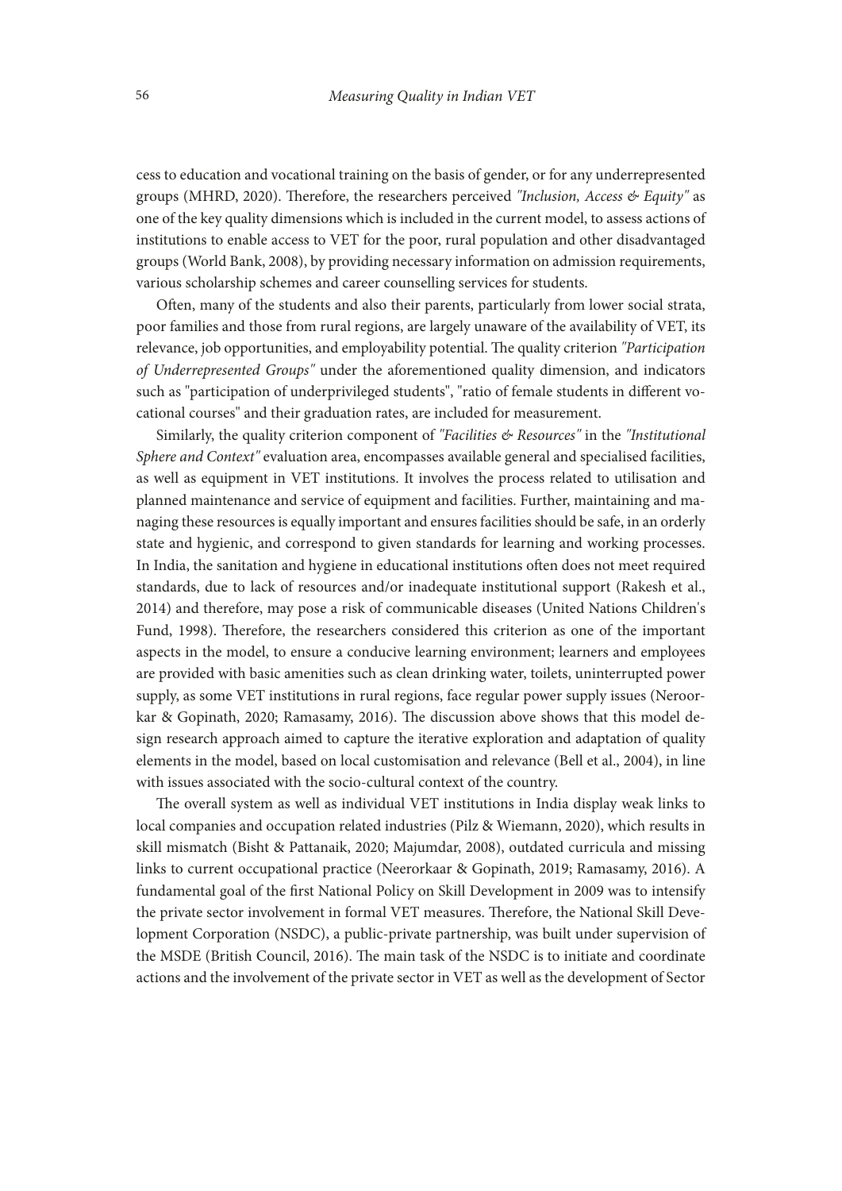cess to education and vocational training on the basis of gender, or for any underrepresented groups (MHRD, 2020). Therefore, the researchers perceived *"Inclusion, Access & Equity"* as one of the key quality dimensions which is included in the current model, to assess actions of institutions to enable access to VET for the poor, rural population and other disadvantaged groups (World Bank, 2008), by providing necessary information on admission requirements, various scholarship schemes and career counselling services for students.

Often, many of the students and also their parents, particularly from lower social strata, poor families and those from rural regions, are largely unaware of the availability of VET, its relevance, job opportunities, and employability potential. The quality criterion *"Participation of Underrepresented Groups"* under the aforementioned quality dimension, and indicators such as "participation of underprivileged students", "ratio of female students in different vocational courses" and their graduation rates, are included for measurement.

Similarly, the quality criterion component of *"Facilities & Resources"* in the *"Institutional Sphere and Context"* evaluation area, encompasses available general and specialised facilities, as well as equipment in VET institutions. It involves the process related to utilisation and planned maintenance and service of equipment and facilities. Further, maintaining and managing these resources is equally important and ensures facilities should be safe, in an orderly state and hygienic, and correspond to given standards for learning and working processes. In India, the sanitation and hygiene in educational institutions often does not meet required standards, due to lack of resources and/or inadequate institutional support (Rakesh et al., 2014) and therefore, may pose a risk of communicable diseases (United Nations Children's Fund, 1998). Therefore, the researchers considered this criterion as one of the important aspects in the model, to ensure a conducive learning environment; learners and employees are provided with basic amenities such as clean drinking water, toilets, uninterrupted power supply, as some VET institutions in rural regions, face regular power supply issues (Neroorkar & Gopinath, 2020; Ramasamy, 2016). The discussion above shows that this model design research approach aimed to capture the iterative exploration and adaptation of quality elements in the model, based on local customisation and relevance (Bell et al., 2004), in line with issues associated with the socio-cultural context of the country.

The overall system as well as individual VET institutions in India display weak links to local companies and occupation related industries (Pilz & Wiemann, 2020), which results in skill mismatch (Bisht & Pattanaik, 2020; Majumdar, 2008), outdated curricula and missing links to current occupational practice (Neerorkaar & Gopinath, 2019; Ramasamy, 2016). A fundamental goal of the first National Policy on Skill Development in 2009 was to intensify the private sector involvement in formal VET measures. Therefore, the National Skill Development Corporation (NSDC), a public-private partnership, was built under supervision of the MSDE (British Council, 2016). The main task of the NSDC is to initiate and coordinate actions and the involvement of the private sector in VET as well as the development of Sector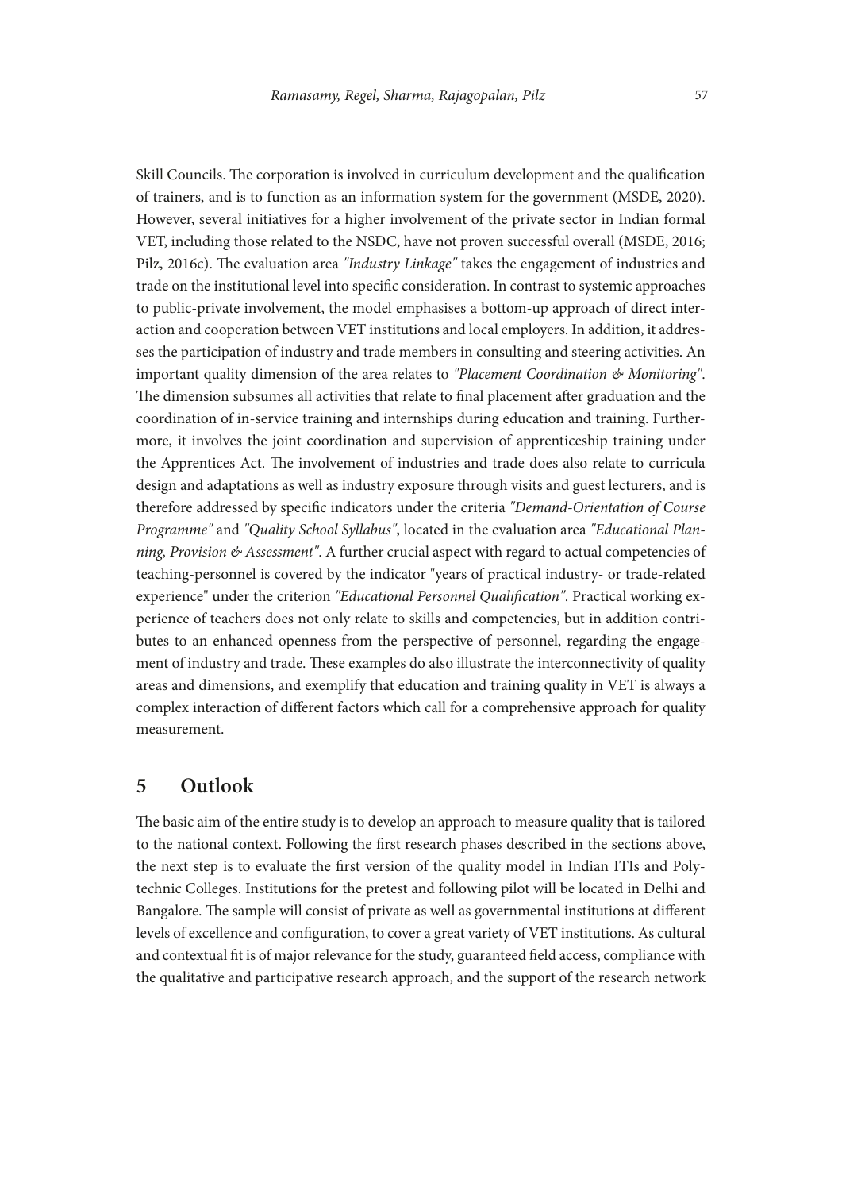Skill Councils. The corporation is involved in curriculum development and the qualification of trainers, and is to function as an information system for the government (MSDE, 2020). However, several initiatives for a higher involvement of the private sector in Indian formal VET, including those related to the NSDC, have not proven successful overall (MSDE, 2016; Pilz, 2016c). The evaluation area *"Industry Linkage"* takes the engagement of industries and trade on the institutional level into specific consideration. In contrast to systemic approaches to public-private involvement, the model emphasises a bottom-up approach of direct interaction and cooperation between VET institutions and local employers. In addition, it addresses the participation of industry and trade members in consulting and steering activities. An important quality dimension of the area relates to *"Placement Coordination & Monitoring"*. The dimension subsumes all activities that relate to final placement after graduation and the coordination of in-service training and internships during education and training. Furthermore, it involves the joint coordination and supervision of apprenticeship training under the Apprentices Act. The involvement of industries and trade does also relate to curricula design and adaptations as well as industry exposure through visits and guest lecturers, and is therefore addressed by specific indicators under the criteria *"Demand-Orientation of Course Programme"* and *"Quality School Syllabus"*, located in the evaluation area *"Educational Planning, Provision & Assessment"*. A further crucial aspect with regard to actual competencies of teaching-personnel is covered by the indicator "years of practical industry- or trade-related experience" under the criterion *"Educational Personnel Qualification"*. Practical working experience of teachers does not only relate to skills and competencies, but in addition contributes to an enhanced openness from the perspective of personnel, regarding the engagement of industry and trade. These examples do also illustrate the interconnectivity of quality areas and dimensions, and exemplify that education and training quality in VET is always a complex interaction of different factors which call for a comprehensive approach for quality measurement.

#### **5 Outlook**

The basic aim of the entire study is to develop an approach to measure quality that is tailored to the national context. Following the first research phases described in the sections above, the next step is to evaluate the first version of the quality model in Indian ITIs and Polytechnic Colleges. Institutions for the pretest and following pilot will be located in Delhi and Bangalore. The sample will consist of private as well as governmental institutions at different levels of excellence and configuration, to cover a great variety of VET institutions. As cultural and contextual fit is of major relevance for the study, guaranteed field access, compliance with the qualitative and participative research approach, and the support of the research network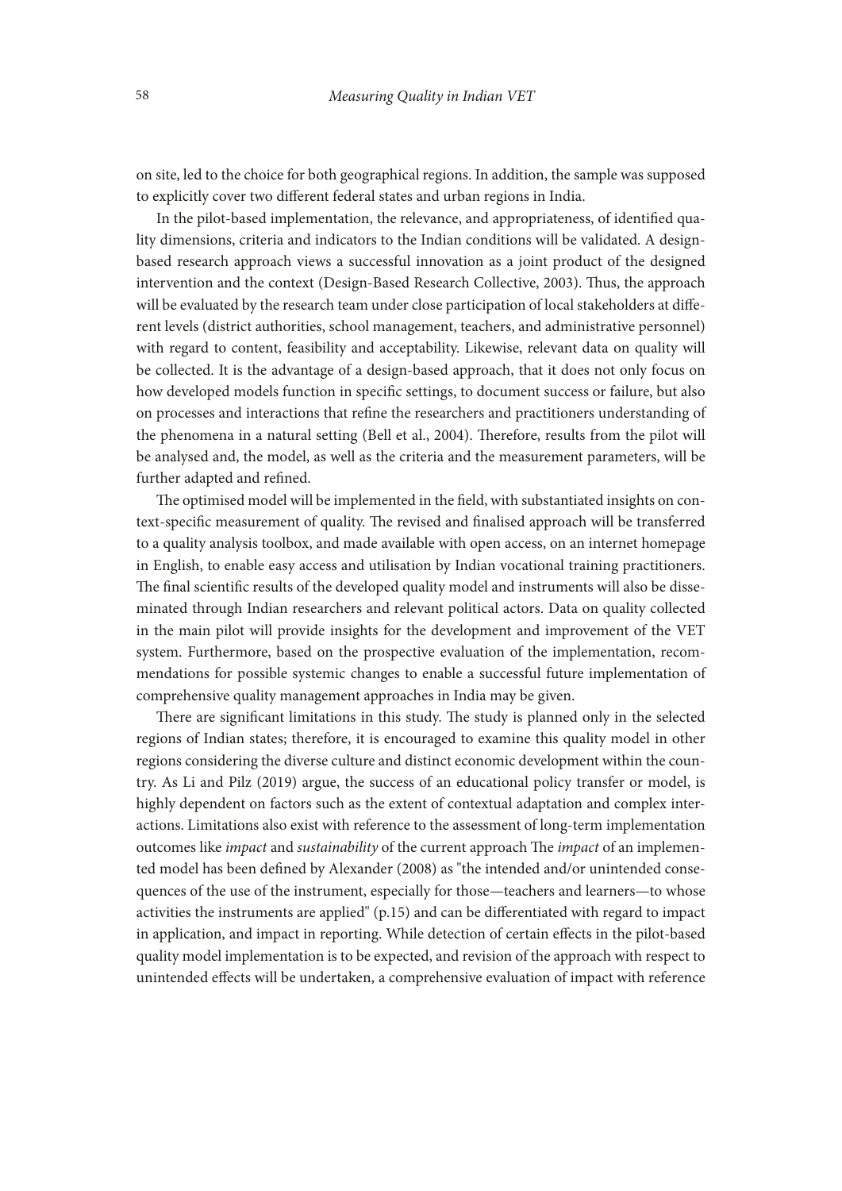on site, led to the choice for both geographical regions. In addition, the sample was supposed to explicitly cover two different federal states and urban regions in India.

In the pilot-based implementation, the relevance, and appropriateness, of identified quality dimensions, criteria and indicators to the Indian conditions will be validated. A designbased research approach views a successful innovation as a joint product of the designed intervention and the context (Design-Based Research Collective, 2003). Thus, the approach will be evaluated by the research team under close participation of local stakeholders at different levels (district authorities, school management, teachers, and administrative personnel) with regard to content, feasibility and acceptability. Likewise, relevant data on quality will be collected. It is the advantage of a design-based approach, that it does not only focus on how developed models function in specific settings, to document success or failure, but also on processes and interactions that refine the researchers and practitioners understanding of the phenomena in a natural setting (Bell et al., 2004). Therefore, results from the pilot will be analysed and, the model, as well as the criteria and the measurement parameters, will be further adapted and refined.

The optimised model will be implemented in the field, with substantiated insights on context-specific measurement of quality. The revised and finalised approach will be transferred to a quality analysis toolbox, and made available with open access, on an internet homepage in English, to enable easy access and utilisation by Indian vocational training practitioners. The final scientific results of the developed quality model and instruments will also be disseminated through Indian researchers and relevant political actors. Data on quality collected in the main pilot will provide insights for the development and improvement of the VET system. Furthermore, based on the prospective evaluation of the implementation, recommendations for possible systemic changes to enable a successful future implementation of comprehensive quality management approaches in India may be given.

There are significant limitations in this study. The study is planned only in the selected regions of Indian states; therefore, it is encouraged to examine this quality model in other regions considering the diverse culture and distinct economic development within the country. As Li and Pilz (2019) argue, the success of an educational policy transfer or model, is highly dependent on factors such as the extent of contextual adaptation and complex interactions. Limitations also exist with reference to the assessment of long-term implementation outcomes like *impact* and *sustainability* of the current approach The *impact* of an implemented model has been defined by Alexander (2008) as "the intended and/or unintended consequences of the use of the instrument, especially for those—teachers and learners—to whose activities the instruments are applied" (p.15) and can be differentiated with regard to impact in application, and impact in reporting. While detection of certain effects in the pilot-based quality model implementation is to be expected, and revision of the approach with respect to unintended effects will be undertaken, a comprehensive evaluation of impact with reference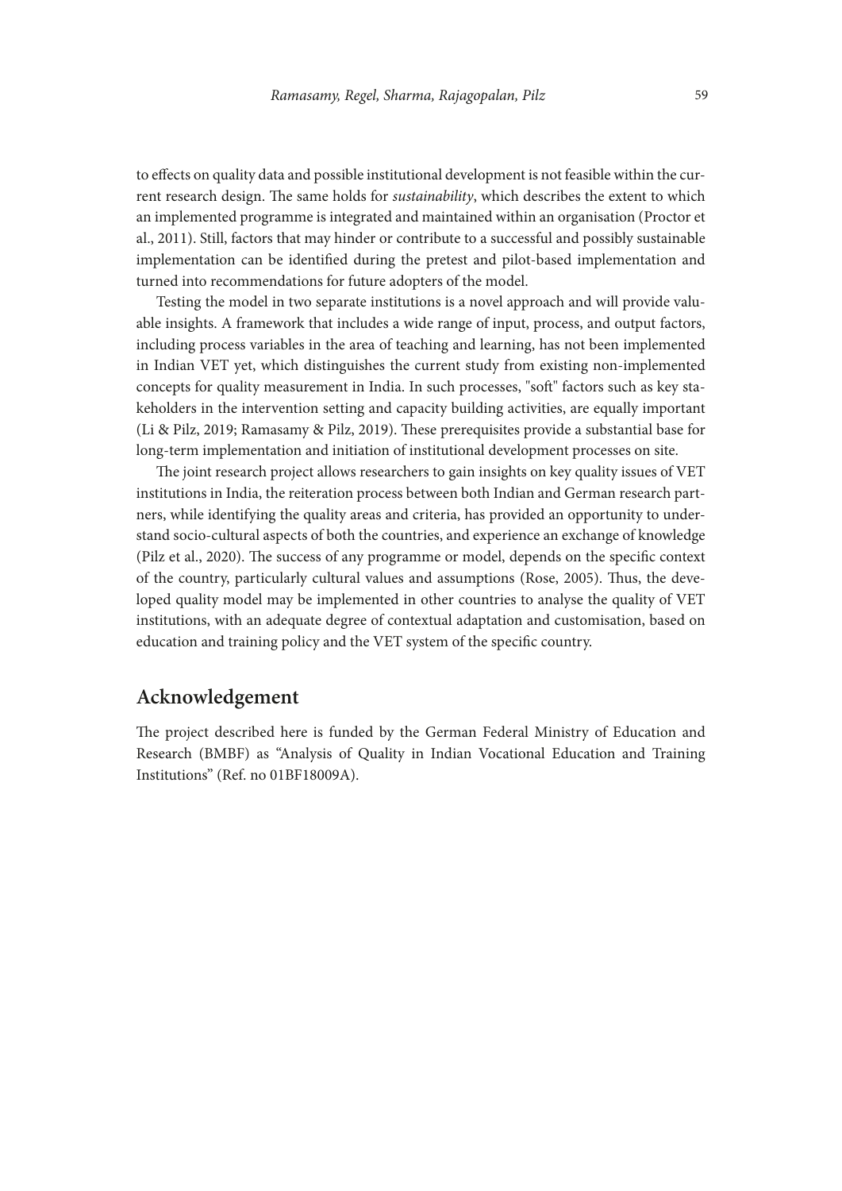to effects on quality data and possible institutional development is not feasible within the current research design. The same holds for *sustainability*, which describes the extent to which an implemented programme is integrated and maintained within an organisation (Proctor et al., 2011). Still, factors that may hinder or contribute to a successful and possibly sustainable implementation can be identified during the pretest and pilot-based implementation and turned into recommendations for future adopters of the model.

Testing the model in two separate institutions is a novel approach and will provide valuable insights. A framework that includes a wide range of input, process, and output factors, including process variables in the area of teaching and learning, has not been implemented in Indian VET yet, which distinguishes the current study from existing non-implemented concepts for quality measurement in India. In such processes, "soft" factors such as key stakeholders in the intervention setting and capacity building activities, are equally important (Li & Pilz, 2019; Ramasamy & Pilz, 2019). These prerequisites provide a substantial base for long-term implementation and initiation of institutional development processes on site.

The joint research project allows researchers to gain insights on key quality issues of VET institutions in India, the reiteration process between both Indian and German research partners, while identifying the quality areas and criteria, has provided an opportunity to understand socio-cultural aspects of both the countries, and experience an exchange of knowledge (Pilz et al., 2020). The success of any programme or model, depends on the specific context of the country, particularly cultural values and assumptions (Rose, 2005). Thus, the developed quality model may be implemented in other countries to analyse the quality of VET institutions, with an adequate degree of contextual adaptation and customisation, based on education and training policy and the VET system of the specific country.

# **Acknowledgement**

The project described here is funded by the German Federal Ministry of Education and Research (BMBF) as "Analysis of Quality in Indian Vocational Education and Training Institutions" (Ref. no 01BF18009A).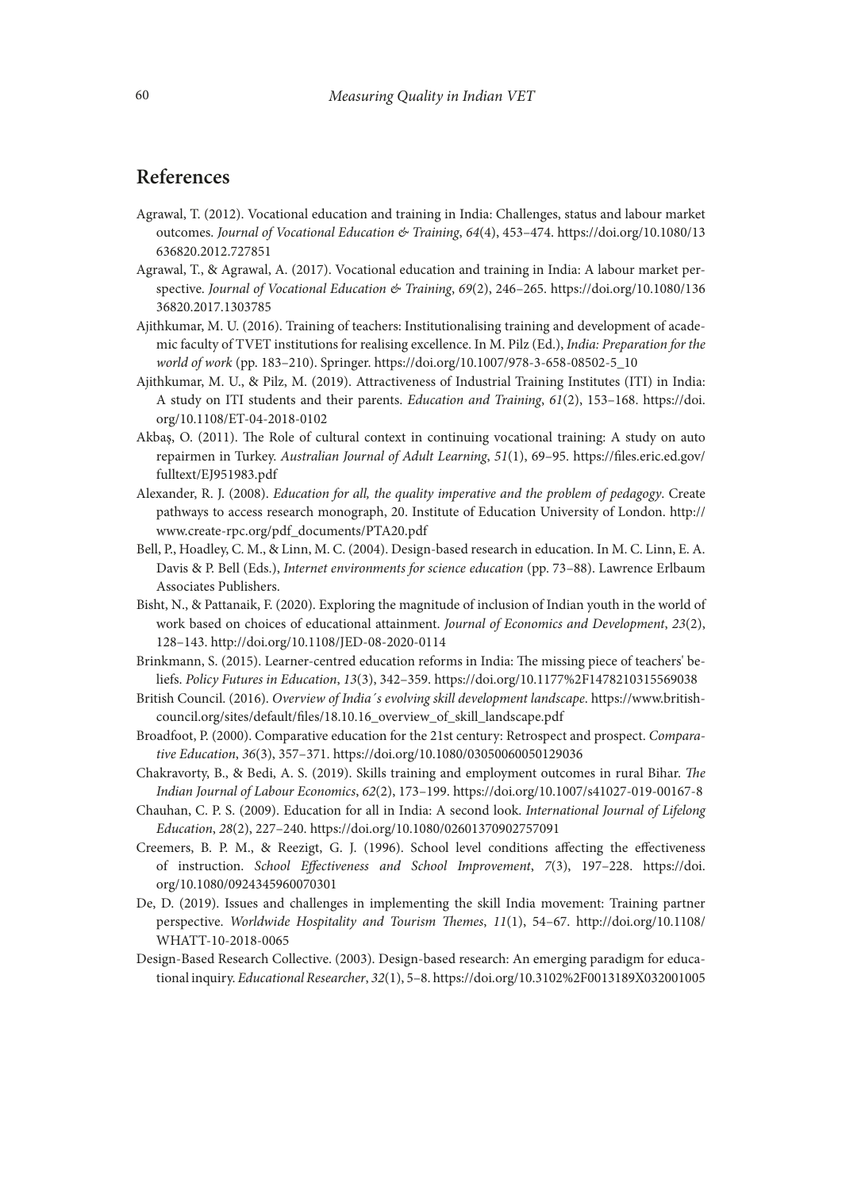# **References**

- Agrawal, T. (2012). Vocational education and training in India: Challenges, status and labour market outcomes. *Journal of Vocational Education & Training*, *64*(4), 453–474. [https://doi.org/10.1080/13](https://doi.org/10.1080/13636820.2012.727851) [636820.2012.727851](https://doi.org/10.1080/13636820.2012.727851)
- Agrawal, T., & Agrawal, A. (2017). Vocational education and training in India: A labour market perspective. *Journal of Vocational Education & Training*, *69*(2), 246–265. [https://doi.org/10.1080/136](https://doi.org/10.1080/13636820.2017.1303785) [36820.2017.1303785](https://doi.org/10.1080/13636820.2017.1303785)
- Ajithkumar, M. U. (2016). Training of teachers: Institutionalising training and development of academic faculty of TVET institutions for realising excellence. In M. Pilz (Ed.), *India: Preparation for the world of work* (pp. 183–210). Springer. https://doi.org/10.1007/978-3-658-08502-5\_10
- Ajithkumar, M. U., & Pilz, M. (2019). Attractiveness of Industrial Training Institutes (ITI) in India: A study on ITI students and their parents. *Education and Training*, *61*(2), 153–168. [https://doi.](https://doi.org/10.1108/ET-04-2018-0102) [org/10.1108/ET-04-2018-0102](https://doi.org/10.1108/ET-04-2018-0102)
- Akbaş, O. (2011). The Role of cultural context in continuing vocational training: A study on auto repairmen in Turkey. *Australian Journal of Adult Learning*, *51*(1), 69–95. [https://files.eric.ed.gov/](https://files.eric.ed.gov/fulltext/EJ951983.pdf) [fulltext/EJ951983.pdf](https://files.eric.ed.gov/fulltext/EJ951983.pdf)
- Alexander, R. J. (2008). *Education for all, the quality imperative and the problem of pedagogy*. Create pathways to access research monograph, 20. Institute of Education University of London. http:// www.create-rpc.org/pdf\_documents/PTA20.pdf
- Bell, P., Hoadley, C. M., & Linn, M. C. (2004). Design-based research in education. In M. C. Linn, E. A. Davis & P. Bell (Eds.), *Internet environments for science education* (pp. 73–88). Lawrence Erlbaum Associates Publishers.
- Bisht, N., & Pattanaik, F. (2020). Exploring the magnitude of inclusion of Indian youth in the world of work based on choices of educational attainment. *Journal of Economics and Development*, *23*(2), 128–143. http://doi.org/10.1108/JED-08-2020-0114
- Brinkmann, S. (2015). Learner-centred education reforms in India: The missing piece of teachers' beliefs. *Policy Futures in Education*, *13*(3), 342–359. https://doi.org/10.1177%2F1478210315569038
- British Council. (2016). *Overview of India´s evolving skill development landscape*. https://www.britishcouncil.org/sites/default/files/18.10.16\_overview\_of\_skill\_landscape.pdf
- Broadfoot, P. (2000). Comparative education for the 21st century: Retrospect and prospect. *Comparative Education*, *36*(3), 357–371. https://doi.org/10.1080/03050060050129036
- Chakravorty, B., & Bedi, A. S. (2019). Skills training and employment outcomes in rural Bihar. *The Indian Journal of Labour Economics*, *62*(2), 173–199. https://doi.org/10.1007/s41027-019-00167-8
- Chauhan, C. P. S. (2009). Education for all in India: A second look. *International Journal of Lifelong Education*, *28*(2), 227–240. https://doi.org/10.1080/02601370902757091
- Creemers, B. P. M., & Reezigt, G. J. (1996). School level conditions affecting the effectiveness of instruction. *School Effectiveness and School Improvement*, *7*(3), 197–228. [https://doi.](https://doi.org/10.1080/0924345960070301) [org/10.1080/0924345960070301](https://doi.org/10.1080/0924345960070301)
- De, D. (2019). Issues and challenges in implementing the skill India movement: Training partner perspective. *Worldwide Hospitality and Tourism Themes*, *11*(1), 54–67. [http://doi.org/10.1108/](http://doi.org/10.1108/WHATT-10-2018-0065) [WHATT-10-2018-0065](http://doi.org/10.1108/WHATT-10-2018-0065)
- Design-Based Research Collective. (2003). Design-based research: An emerging paradigm for educational inquiry. *Educational Researcher*, *32*(1), 5–8. https://doi.org/10.3102%2F0013189X032001005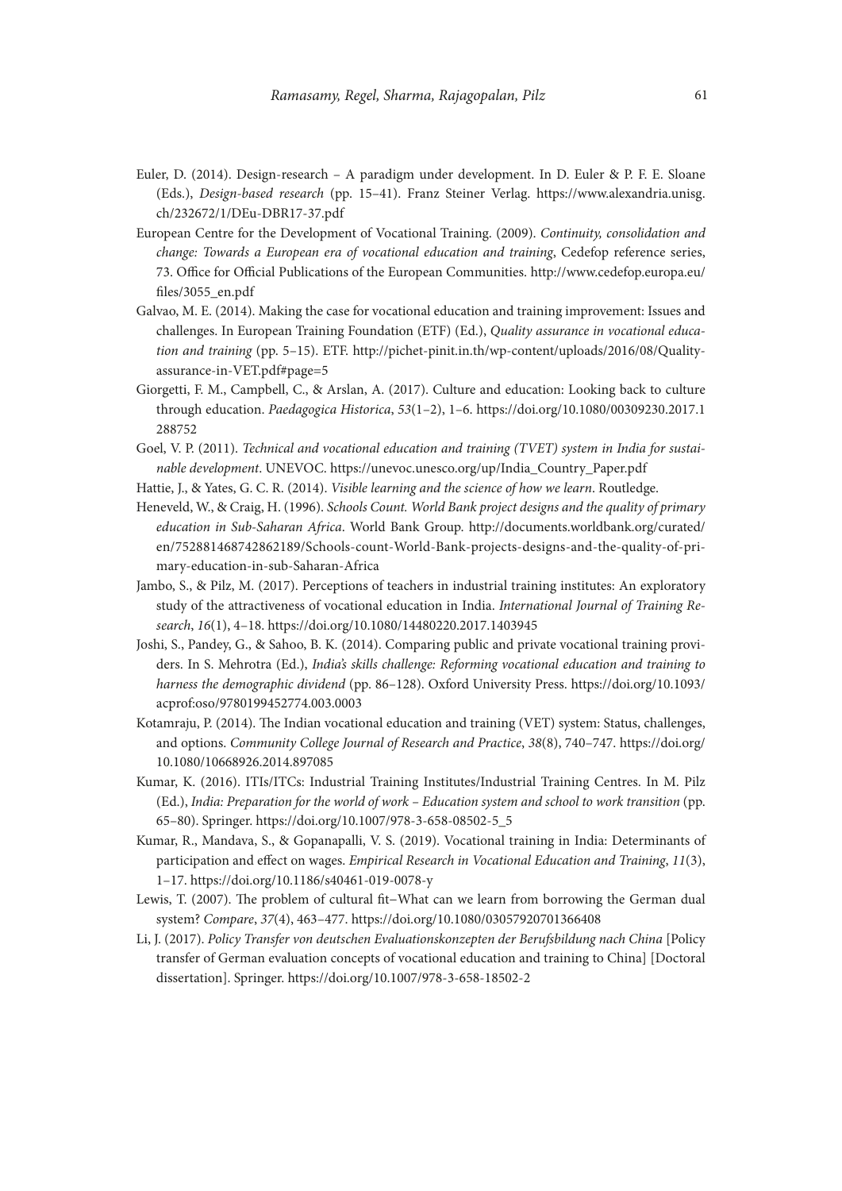- Euler, D. (2014). Design-research A paradigm under development. In D. Euler & P. F. E. Sloane (Eds.), *Design-based research* (pp. 15–41). Franz Steiner Verlag. [https://www.alexandria.unisg.](https://www.alexandria.unisg.ch/232672/1/DEu-DBR17-37.pdf) [ch/232672/1/DEu-DBR17-37.pdf](https://www.alexandria.unisg.ch/232672/1/DEu-DBR17-37.pdf)
- European Centre for the Development of Vocational Training. (2009). *Continuity, consolidation and change: Towards a European era of vocational education and training*, Cedefop reference series, 73. Office for Official Publications of the European Communities. http://www.cedefop.europa.eu/ files/3055\_en.pdf
- Galvao, M. E. (2014). Making the case for vocational education and training improvement: Issues and challenges. In European Training Foundation (ETF) (Ed.), *Quality assurance in vocational education and training* (pp. 5–15). ETF. http://pichet-pinit.in.th/wp-content/uploads/2016/08/Qualityassurance-in-VET.pdf#page=5
- Giorgetti, F. M., Campbell, C., & Arslan, A. (2017). Culture and education: Looking back to culture through education. *Paedagogica Historica*, *53*(1–2), 1–6. [https://doi.org/10.1080/00309230.2017.1](https://doi.org/10.1080/00309230.2017.1288752) [288752](https://doi.org/10.1080/00309230.2017.1288752)
- Goel, V. P. (2011). *Technical and vocational education and training (TVET) system in India for sustainable development*. UNEVOC. https://unevoc.unesco.org/up/India\_Country\_Paper.pdf
- Hattie, J., & Yates, G. C. R. (2014). *Visible learning and the science of how we learn*. Routledge.
- Heneveld, W., & Craig, H. (1996). *Schools Count. World Bank project designs and the quality of primary education in Sub-Saharan Africa*. World Bank Group. [http://documents.worldbank.org/curated/](http://documents.worldbank.org/curated/en/752881468742862189/Schools-count-World-Bank-projects-designs-and-the-quality-of-primary-education-in-sub-Saharan-Africa) [en/752881468742862189/Schools-count-World-Bank-projects-designs-and-the-quality-of-pri](http://documents.worldbank.org/curated/en/752881468742862189/Schools-count-World-Bank-projects-designs-and-the-quality-of-primary-education-in-sub-Saharan-Africa)[mary-education-in-sub-Saharan-Africa](http://documents.worldbank.org/curated/en/752881468742862189/Schools-count-World-Bank-projects-designs-and-the-quality-of-primary-education-in-sub-Saharan-Africa)
- Jambo, S., & Pilz, M. (2017). Perceptions of teachers in industrial training institutes: An exploratory study of the attractiveness of vocational education in India. *International Journal of Training Research*, *16*(1), 4–18. https://doi.org/10.1080/14480220.2017.1403945
- Joshi, S., Pandey, G., & Sahoo, B. K. (2014). Comparing public and private vocational training providers. In S. Mehrotra (Ed.), *India's skills challenge: Reforming vocational education and training to harness the demographic dividend* (pp. 86–128). Oxford University Press. [https://doi.org/10.1093/](https://doi.org/10.1093/acprof:oso/9780199452774.003.0003 ) [acprof:oso/9780199452774.003.0003](https://doi.org/10.1093/acprof:oso/9780199452774.003.0003 )
- Kotamraju, P. (2014). The Indian vocational education and training (VET) system: Status, challenges, and options. *Community College Journal of Research and Practice*, *38*(8), 740–747. [https://doi.org/](https://doi.org/10.1080/10668926.2014.897085) [10.1080/10668926.2014.897085](https://doi.org/10.1080/10668926.2014.897085)
- Kumar, K. (2016). ITIs/ITCs: Industrial Training Institutes/Industrial Training Centres. In M. Pilz (Ed.), *India: Preparation for the world of work – Education system and school to work transition* (pp. 65–80). Springer. https://doi.org/10.1007/978-3-658-08502-5\_5
- Kumar, R., Mandava, S., & Gopanapalli, V. S. (2019). Vocational training in India: Determinants of participation and effect on wages. *Empirical Research in Vocational Education and Training*, *11*(3), 1–17. https://doi.org/10.1186/s40461-019-0078-y
- Lewis, T. (2007). The problem of cultural fit−What can we learn from borrowing the German dual system? *Compare*, *37*(4), 463–477. https://doi.org/10.1080/03057920701366408
- Li, J. (2017). *Policy Transfer von deutschen Evaluationskonzepten der Berufsbildung nach China* [Policy transfer of German evaluation concepts of vocational education and training to China] [Doctoral dissertation]. Springer. https://doi.org/10.1007/978-3-658-18502-2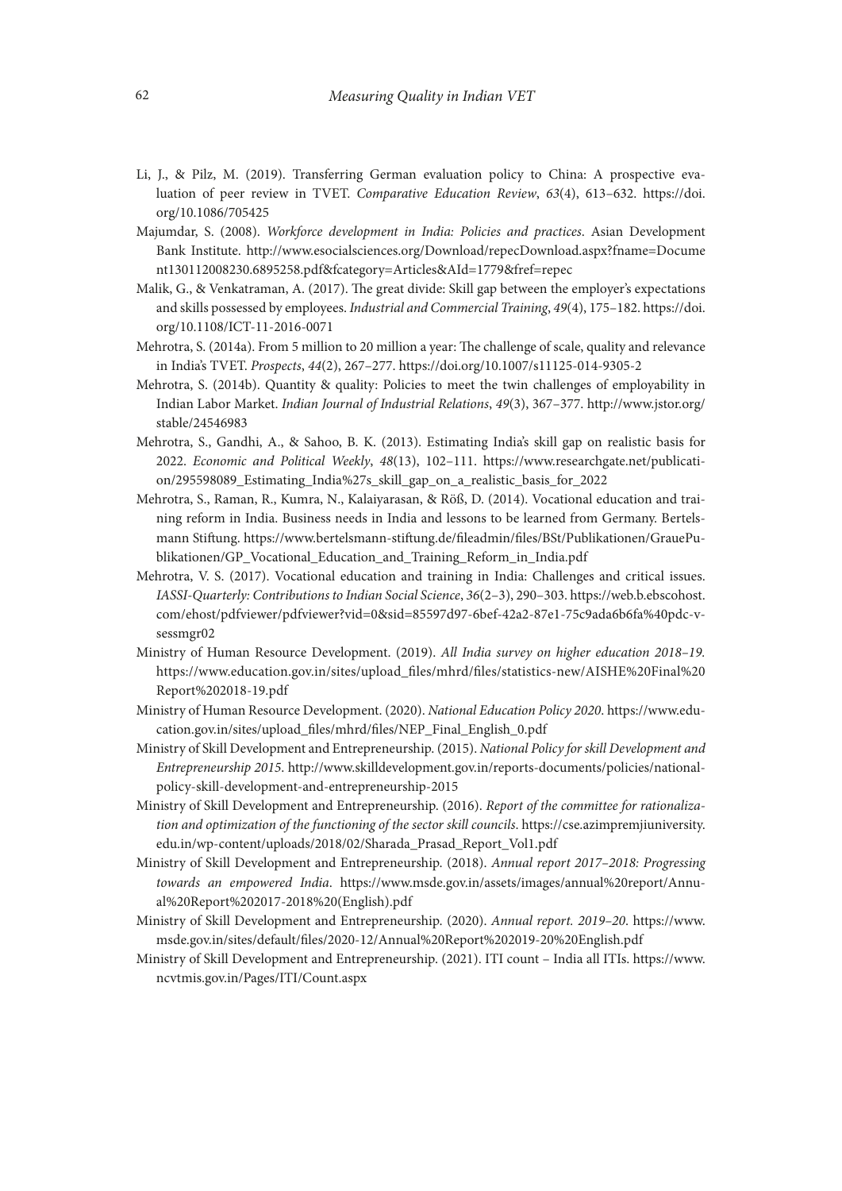- Li, J., & Pilz, M. (2019). Transferring German evaluation policy to China: A prospective evaluation of peer review in TVET. *Comparative Education Review*, *63*(4), 613–632. [https://doi.](https://doi.org/10.1086/705425) [org/10.1086/705425](https://doi.org/10.1086/705425)
- Majumdar, S. (2008). *Workforce development in India: Policies and practices*. Asian Development Bank Institute. [http://www.esocialsciences.org/Download/repecDownload.aspx?fname=Docume](http://www.esocialsciences.org/Download/repecDownload.aspx?fname=Document130112008230.6895258.pdf&fcategory=Articles&AId=1779&fref=repec) [nt130112008230.6895258.pdf&fcategory=Articles&AId=1779&fref=repec](http://www.esocialsciences.org/Download/repecDownload.aspx?fname=Document130112008230.6895258.pdf&fcategory=Articles&AId=1779&fref=repec)
- Malik, G., & Venkatraman, A. (2017). The great divide: Skill gap between the employer's expectations and skills possessed by employees. *Industrial and Commercial Training*, *49*(4), 175–182. [https://doi.](https://doi.org/10.1108/ICT-11-2016-0071) [org/10.1108/ICT-11-2016-0071](https://doi.org/10.1108/ICT-11-2016-0071)
- Mehrotra, S. (2014a). From 5 million to 20 million a year: The challenge of scale, quality and relevance in India's TVET. *Prospects*, *44*(2), 267–277.<https://doi.org/10.1007/s11125-014-9305-2>
- Mehrotra, S. (2014b). Quantity & quality: Policies to meet the twin challenges of employability in Indian Labor Market. *Indian Journal of Industrial Relations*, *49*(3), 367–377. [http://www.jstor.org/](http://www.jstor.org/stable/24546983) [stable/24546983](http://www.jstor.org/stable/24546983)
- Mehrotra, S., Gandhi, A., & Sahoo, B. K. (2013). Estimating India's skill gap on realistic basis for 2022. *Economic and Political Weekly*, *48*(13), 102–111. https://www.researchgate.net/publication/295598089\_Estimating\_India%27s\_skill\_gap\_on\_a\_realistic\_basis\_for\_2022
- Mehrotra, S., Raman, R., Kumra, N., Kalaiyarasan, & Röß, D. (2014). Vocational education and training reform in India. Business needs in India and lessons to be learned from Germany. Bertelsmann Stiftung. [https://www.bertelsmann-stiftung.de/fileadmin/files/BSt/Publikationen/GrauePu](https://www.bertelsmann-stiftung.de/fileadmin/files/BSt/Publikationen/GrauePublikationen/GP_Vocational_Education_and_Training_Reform_in_India.pdf)[blikationen/GP\\_Vocational\\_Education\\_and\\_Training\\_Reform\\_in\\_India.pdf](https://www.bertelsmann-stiftung.de/fileadmin/files/BSt/Publikationen/GrauePublikationen/GP_Vocational_Education_and_Training_Reform_in_India.pdf)
- Mehrotra, V. S. (2017). Vocational education and training in India: Challenges and critical issues. *IASSI-Quarterly: Contributions to Indian Social Science*, *36*(2–3), 290–303. [https://web.b.ebscohost.](https://web.b.ebscohost.com/ehost/pdfviewer/pdfviewer?vid=0&sid=85597d97-6bef-42a2-87e1-75c9ada6b6fa%40pdc-v-sessmgr02) [com/ehost/pdfviewer/pdfviewer?vid=0&sid=85597d97-6bef-42a2-87e1-75c9ada6b6fa%40pdc-v](https://web.b.ebscohost.com/ehost/pdfviewer/pdfviewer?vid=0&sid=85597d97-6bef-42a2-87e1-75c9ada6b6fa%40pdc-v-sessmgr02)[sessmgr02](https://web.b.ebscohost.com/ehost/pdfviewer/pdfviewer?vid=0&sid=85597d97-6bef-42a2-87e1-75c9ada6b6fa%40pdc-v-sessmgr02)
- Ministry of Human Resource Development. (2019). *All India survey on higher education 2018–19.* [https://www.education.gov.in/sites/upload\\_files/mhrd/files/statistics-new/AISHE%20Final%20](https://www.education.gov.in/sites/upload_files/mhrd/files/statistics-new/AISHE%20Final%20Report%202018-19.pdf) [Report%202018-19.pdf](https://www.education.gov.in/sites/upload_files/mhrd/files/statistics-new/AISHE%20Final%20Report%202018-19.pdf)
- Ministry of Human Resource Development. (2020). *National Education Policy 2020*. [https://www.edu](https://www.education.gov.in/sites/upload_files/mhrd/files/NEP_Final_English_0.pdf)[cation.gov.in/sites/upload\\_files/mhrd/files/NEP\\_Final\\_English\\_0.pdf](https://www.education.gov.in/sites/upload_files/mhrd/files/NEP_Final_English_0.pdf)
- Ministry of Skill Development and Entrepreneurship. (2015). *National Policy for skill Development and Entrepreneurship 2015*. http://www.skilldevelopment.gov.in/reports-documents/policies/nationalpolicy-skill-development-and-entrepreneurship-2015
- Ministry of Skill Development and Entrepreneurship. (2016). *Report of the committee for rationalization and optimization of the functioning of the sector skill councils*. [https://cse.azimpremjiuniversity.](https://cse.azimpremjiuniversity.edu.in/wp-content/uploads/2018/02/Sharada_Prasad_Report_Vol1.pdf) [edu.in/wp-content/uploads/2018/02/Sharada\\_Prasad\\_Report\\_Vol1.pdf](https://cse.azimpremjiuniversity.edu.in/wp-content/uploads/2018/02/Sharada_Prasad_Report_Vol1.pdf)
- Ministry of Skill Development and Entrepreneurship. (2018). *Annual report 2017–2018: Progressing towards an empowered India*. [https://www.msde.gov.in/assets/images/annual%20report/Annu](https://www.msde.gov.in/assets/images/annual%20report/Annual%20Report%202017-2018%20(English).pdf)[al%20Report%202017-2018%20\(English\).pdf](https://www.msde.gov.in/assets/images/annual%20report/Annual%20Report%202017-2018%20(English).pdf)
- Ministry of Skill Development and Entrepreneurship. (2020). *Annual report. 2019–20*. [https://www.](https://www.msde.gov.in/sites/default/files/2020-12/Annual%20Report%202019-20%20English.pdf) [msde.gov.in/sites/default/files/2020-12/Annual%20Report%202019-20%20English.pdf](https://www.msde.gov.in/sites/default/files/2020-12/Annual%20Report%202019-20%20English.pdf)
- Ministry of Skill Development and Entrepreneurship. (2021). ITI count India all ITIs. [https://www.](https://www.ncvtmis.gov.in/Pages/ITI/Count.aspx) [ncvtmis.gov.in/Pages/ITI/Count.aspx](https://www.ncvtmis.gov.in/Pages/ITI/Count.aspx)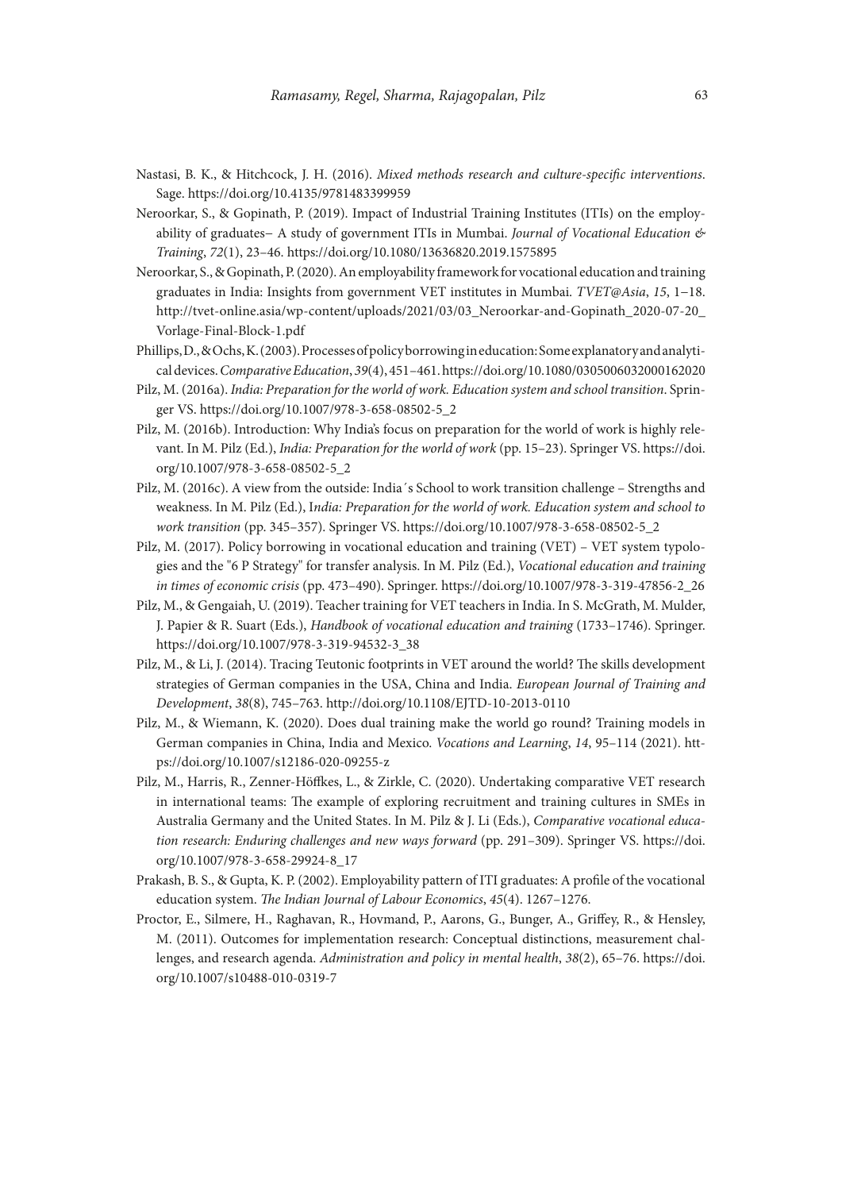- Nastasi, B. K., & Hitchcock, J. H. (2016). *Mixed methods research and culture-specific interventions*. Sage. https://doi.org/10.4135/9781483399959
- Neroorkar, S., & Gopinath, P. (2019). Impact of Industrial Training Institutes (ITIs) on the employability of graduates− A study of government ITIs in Mumbai. *Journal of Vocational Education & Training*, *72*(1), 23–46. https://doi.org/10.1080/13636820.2019.1575895
- Neroorkar, S., & Gopinath, P. (2020). An employability framework for vocational education and training graduates in India: Insights from government VET institutes in Mumbai. *TVET@Asia*, *15*, 1−18. [http://tvet-online.asia/wp-content/uploads/2021/03/03\\_Neroorkar-and-Gopinath\\_2020-07-20\\_](http://tvet-online.asia/wp-content/uploads/2021/03/03_Neroorkar-and-Gopinath_2020-07-20_Vorlage-Final-Block-1.pdf) [Vorlage-Final-Block-1.pdf](http://tvet-online.asia/wp-content/uploads/2021/03/03_Neroorkar-and-Gopinath_2020-07-20_Vorlage-Final-Block-1.pdf)
- Phillips, D., & Ochs, K. (2003). Processes of policy borrowing in education: Some explanatory and analytical devices. *Comparative Education*, *39*(4), 451–461. https://doi.org/10.1080/0305006032000162020
- Pilz, M. (2016a). *India: Preparation for the world of work. Education system and school transition*. Springer VS. https://doi.org/10.1007/978-3-658-08502-5\_2
- Pilz, M. (2016b). Introduction: Why India's focus on preparation for the world of work is highly relevant. In M. Pilz (Ed.), *India: Preparation for the world of work* (pp. 15–23). Springer VS. [https://doi.](https://doi.org/10.1007/978-3-658-08502-5_2) [org/10.1007/978-3-658-08502-5\\_2](https://doi.org/10.1007/978-3-658-08502-5_2)
- Pilz, M. (2016c). A view from the outside: India´s School to work transition challenge Strengths and weakness. In M. Pilz (Ed.), I*ndia: Preparation for the world of work. Education system and school to work transition* (pp. 345–357). Springer VS. https://doi.org/10.1007/978-3-658-08502-5\_2
- Pilz, M. (2017). Policy borrowing in vocational education and training (VET) VET system typologies and the "6 P Strategy" for transfer analysis. In M. Pilz (Ed.), *Vocational education and training in times of economic crisis* (pp. 473–490). Springer. https://doi.org/10.1007/978-3-319-47856-2\_26
- Pilz, M., & Gengaiah, U. (2019). Teacher training for VET teachers in India. In S. McGrath, M. Mulder, J. Papier & R. Suart (Eds.), *Handbook of vocational education and training* (1733–1746). Springer. https://doi.org/10.1007/978-3-319-94532-3\_38
- Pilz, M., & Li, J. (2014). Tracing Teutonic footprints in VET around the world? The skills development strategies of German companies in the USA, China and India. *European Journal of Training and Development*, *38*(8), 745–763. http://doi.org/10.1108/EJTD-10-2013-0110
- Pilz, M., & Wiemann, K. (2020). Does dual training make the world go round? Training models in German companies in China, India and Mexico. *Vocations and Learning*, *14*, 95–114 (2021). [htt](https://doi.org/10.1007/s12186-020-09255-z)[ps://doi.org/10.1007/s12186-020-09255-z](https://doi.org/10.1007/s12186-020-09255-z)
- Pilz, M., Harris, R., Zenner-Höffkes, L., & Zirkle, C. (2020). Undertaking comparative VET research in international teams: The example of exploring recruitment and training cultures in SMEs in Australia Germany and the United States. In M. Pilz & J. Li (Eds.), *Comparative vocational education research: Enduring challenges and new ways forward* (pp. 291–309). Springer VS. [https://doi.](https://doi.org/10.1007/978-3-658-29924-8_17) [org/10.1007/978-3-658-29924-8\\_17](https://doi.org/10.1007/978-3-658-29924-8_17)
- Prakash, B. S., & Gupta, K. P. (2002). Employability pattern of ITI graduates: A profile of the vocational education system. *The Indian Journal of Labour Economics*, *45*(4). 1267–1276.
- Proctor, E., Silmere, H., Raghavan, R., Hovmand, P., Aarons, G., Bunger, A., Griffey, R., & Hensley, M. (2011). Outcomes for implementation research: Conceptual distinctions, measurement challenges, and research agenda. *Administration and policy in mental health*, *38*(2), 65–76. [https://doi.](https://doi.org/10.1007/s10488-010-0319-7) [org/10.1007/s10488-010-0319-7](https://doi.org/10.1007/s10488-010-0319-7)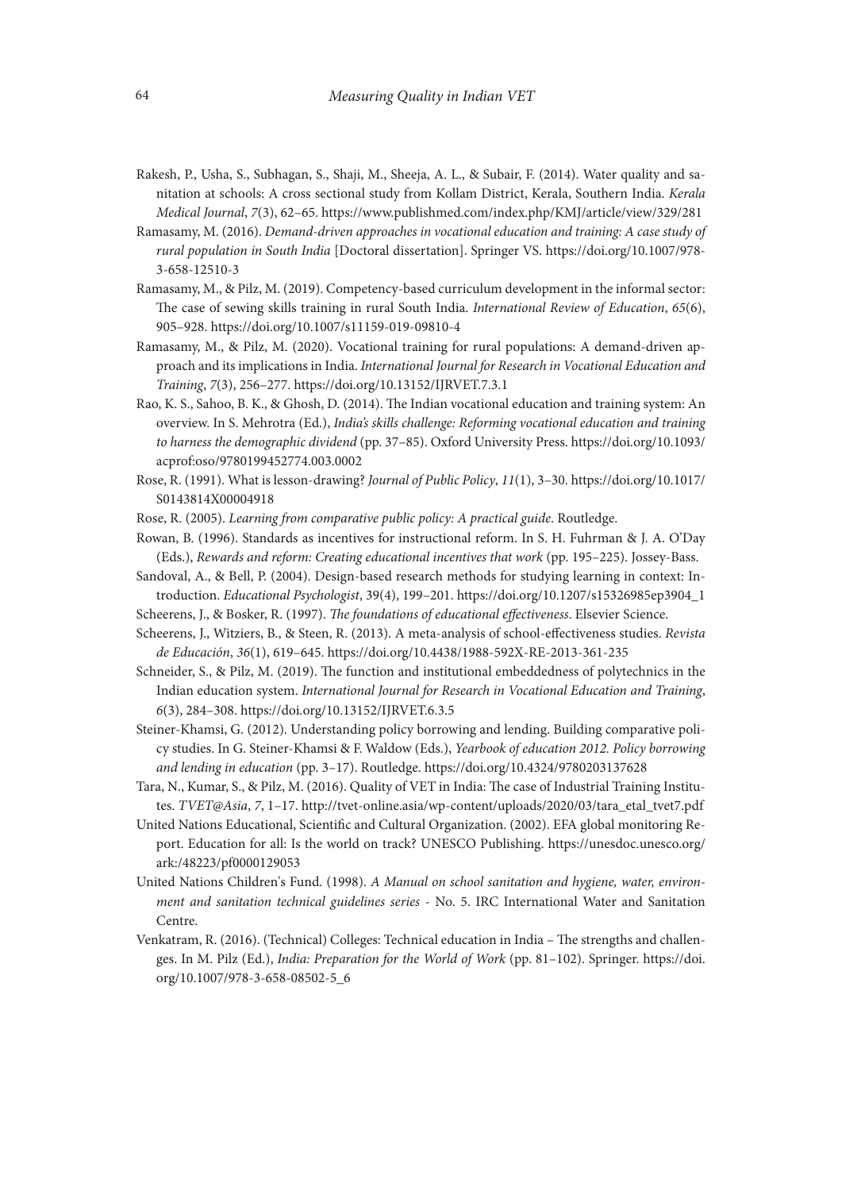- Rakesh, P., Usha, S., Subhagan, S., Shaji, M., Sheeja, A. L., & Subair, F. (2014). Water quality and sanitation at schools: A cross sectional study from Kollam District, Kerala, Southern India. *Kerala Medical Journal*, *7*(3), 62–65. https://www.publishmed.com/index.php/KMJ/article/view/329/281
- Ramasamy, M. (2016). *Demand-driven approaches in vocational education and training: A case study of rural population in South India* [Doctoral dissertation]. Springer VS. https://doi.org/10.1007/978- 3-658-12510-3
- Ramasamy, M., & Pilz, M. (2019). Competency-based curriculum development in the informal sector: The case of sewing skills training in rural South India. *International Review of Education*, *65*(6), 905–928. https://doi.org/10.1007/s11159-019-09810-4
- Ramasamy, M., & Pilz, M. (2020). Vocational training for rural populations: A demand-driven approach and its implications in India. *International Journal for Research in Vocational Education and Training*, *7*(3), 256–277. https://doi.org/10.13152/IJRVET.7.3.1
- Rao, K. S., Sahoo, B. K., & Ghosh, D. (2014). The Indian vocational education and training system: An overview. In S. Mehrotra (Ed.), *India's skills challenge: Reforming vocational education and training to harness the demographic dividend* (pp. 37–85). Oxford University Press. [https://doi.org/10.1093/](https://doi.org/10.1093/acprof:oso/9780199452774.003.0002) [acprof:oso/9780199452774.003.0002](https://doi.org/10.1093/acprof:oso/9780199452774.003.0002)
- Rose, R. (1991). What is lesson-drawing? *Journal of Public Policy*, *11*(1), 3–30. [https://doi.org/10.1017/](https://doi.org/10.1017/S0143814X00004918) [S0143814X00004918](https://doi.org/10.1017/S0143814X00004918)
- Rose, R. (2005). *Learning from comparative public policy: A practical guide*. Routledge.
- Rowan, B. (1996). Standards as incentives for instructional reform. In S. H. Fuhrman & J. A. O'Day (Eds.), *Rewards and reform: Creating educational incentives that work* (pp. 195–225). Jossey-Bass.
- Sandoval, A., & Bell, P. (2004). Design-based research methods for studying learning in context: Introduction. *Educational Psychologist*, 39(4), 199–201. https://doi.org/10.1207/s15326985ep3904\_1
- Scheerens, J., & Bosker, R. (1997). *The foundations of educational effectiveness*. Elsevier Science.
- Scheerens, J., Witziers, B., & Steen, R. (2013). A meta-analysis of school-effectiveness studies. *Revista de Educación*, *36*(1), 619–645. https://doi.org/10.4438/1988-592X-RE-2013-361-235
- Schneider, S., & Pilz, M. (2019). The function and institutional embeddedness of polytechnics in the Indian education system. *International Journal for Research in Vocational Education and Training*, *6*(3), 284–308. https://doi.org/10.13152/IJRVET.6.3.5
- Steiner-Khamsi, G. (2012). Understanding policy borrowing and lending. Building comparative policy studies. In G. Steiner-Khamsi & F. Waldow (Eds.), *Yearbook of education 2012. Policy borrowing and lending in education* (pp. 3–17). Routledge. https://doi.org/10.4324/9780203137628
- Tara, N., Kumar, S., & Pilz, M. (2016). Quality of VET in India: The case of Industrial Training Institutes. *TVET@Asia*, *7*, 1–17. http://tvet-online.asia/wp-content/uploads/2020/03/tara\_etal\_tvet7.pdf
- United Nations Educational, Scientific and Cultural Organization. (2002). EFA global monitoring Report. Education for all: Is the world on track? UNESCO Publishing. https://unesdoc.unesco.org/ ark:/48223/pf0000129053
- United Nations Children's Fund. (1998). *A Manual on school sanitation and hygiene, water, environment and sanitation technical guidelines series* - No. 5. IRC International Water and Sanitation Centre.
- Venkatram, R. (2016). (Technical) Colleges: Technical education in India The strengths and challenges. In M. Pilz (Ed.), *India: Preparation for the World of Work* (pp. 81–102). Springer. [https://doi.](https://doi.org/10.1007/978-3-658-08502-5_6) [org/10.1007/978-3-658-08502-5\\_6](https://doi.org/10.1007/978-3-658-08502-5_6)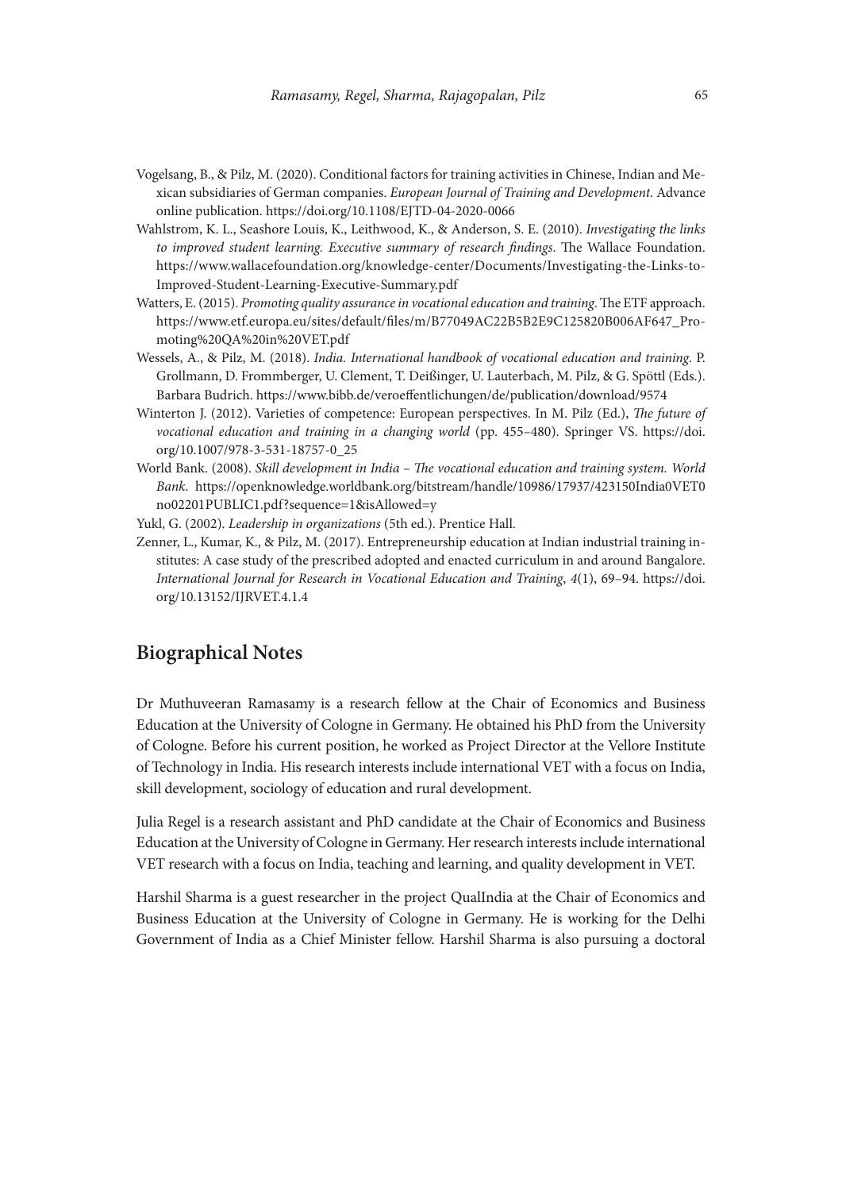- Vogelsang, B., & Pilz, M. (2020). Conditional factors for training activities in Chinese, Indian and Mexican subsidiaries of German companies. *European Journal of Training and Development*. Advance online publication. https://doi.org/10.1108/EJTD-04-2020-0066
- Wahlstrom, K. L., Seashore Louis, K., Leithwood, K., & Anderson, S. E. (2010). *Investigating the links to improved student learning. Executive summary of research findings*. The Wallace Foundation. https://www.wallacefoundation.org/knowledge-center/Documents/Investigating-the-Links-to-Improved-Student-Learning-Executive-Summary.pdf
- Watters, E. (2015). *Promoting quality assurance in vocational education and training*. The ETF approach. [https://www.etf.europa.eu/sites/default/files/m/B77049AC22B5B2E9C125820B006AF647\\_Pro](https://www.etf.europa.eu/sites/default/files/m/B77049AC22B5B2E9C125820B006AF647_Promoting%20QA%20in%20VET.pdf)[moting%20QA%20in%20VET.pdf](https://www.etf.europa.eu/sites/default/files/m/B77049AC22B5B2E9C125820B006AF647_Promoting%20QA%20in%20VET.pdf)
- Wessels, A., & Pilz, M. (2018). *India. International handbook of vocational education and training*. P. Grollmann, D. Frommberger, U. Clement, T. Deißinger, U. Lauterbach, M. Pilz, & G. Spöttl (Eds.). Barbara Budrich. https://www.bibb.de/veroeffentlichungen/de/publication/download/9574
- Winterton J. (2012). Varieties of competence: European perspectives. In M. Pilz (Ed.), *The future of vocational education and training in a changing world* (pp. 455–480). Springer VS. [https://doi.](https://doi.org/10.1007/978-3-531-18757-0_25) [org/10.1007/978-3-531-18757-0\\_25](https://doi.org/10.1007/978-3-531-18757-0_25)
- World Bank. (2008). *Skill development in India The vocational education and training system. World Bank*. [https://openknowledge.worldbank.org/bitstream/handle/10986/17937/423150India0VET0](https://openknowledge.worldbank.org/bitstream/handle/10986/17937/423150India0VET0no02201PUBLIC1.pdf?sequence=1&isAllowed=y) [no02201PUBLIC1.pdf?sequence=1&isAllowed=y](https://openknowledge.worldbank.org/bitstream/handle/10986/17937/423150India0VET0no02201PUBLIC1.pdf?sequence=1&isAllowed=y)

Yukl, G. (2002). *Leadership in organizations* (5th ed.). Prentice Hall.

Zenner, L., Kumar, K., & Pilz, M. (2017). Entrepreneurship education at Indian industrial training institutes: A case study of the prescribed adopted and enacted curriculum in and around Bangalore. *International Journal for Research in Vocational Education and Training*, *4*(1), 69–94. [https://doi.](https://doi.org/10.13152/IJRVET.4.1.4) [org/10.13152/IJRVET.4.1.4](https://doi.org/10.13152/IJRVET.4.1.4)

# **Biographical Notes**

Dr Muthuveeran Ramasamy is a research fellow at the Chair of Economics and Business Education at the University of Cologne in Germany. He obtained his PhD from the University of Cologne. Before his current position, he worked as Project Director at the Vellore Institute of Technology in India. His research interests include international VET with a focus on India, skill development, sociology of education and rural development.

Julia Regel is a research assistant and PhD candidate at the Chair of Economics and Business Education at the University of Cologne in Germany. Her research interests include international VET research with a focus on India, teaching and learning, and quality development in VET.

Harshil Sharma is a guest researcher in the project QualIndia at the Chair of Economics and Business Education at the University of Cologne in Germany. He is working for the Delhi Government of India as a Chief Minister fellow. Harshil Sharma is also pursuing a doctoral